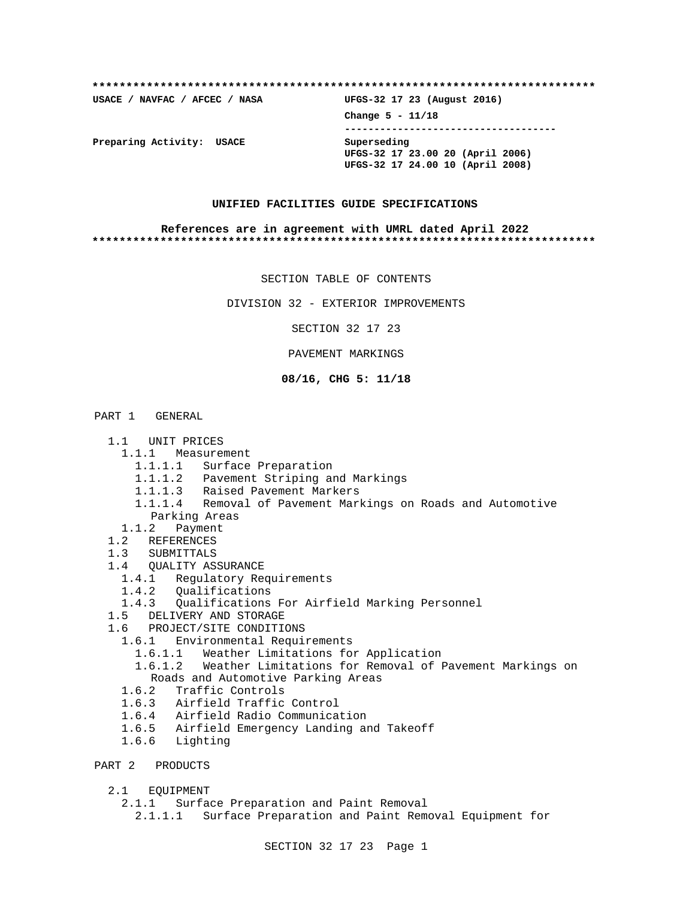**\*\*\*\*\*\*\*\*\*\*\*\*\*\*\*\*\*\*\*\*\*\*\*\*\*\*\*\*\*\*\*\*\*\*\*\*\*\*\*\*\*\*\*\*\*\*\*\*\*\*\*\*\*\*\*\*\*\*\*\*\*\*\*\*\*\*\*\*\*\*\*\*\*\***

**USACE / NAVFAC / AFCEC / NASA UFGS-32 17 23 (August 2016)**

**Change 5 - 11/18 ------------------------------------ UFGS-32 17 23.00 20 (April 2006)**

**UFGS-32 17 24.00 10 (April 2008)**

**Preparing Activity: USACE Superseding**

### **UNIFIED FACILITIES GUIDE SPECIFICATIONS**

### **References are in agreement with UMRL dated April 2022 \*\*\*\*\*\*\*\*\*\*\*\*\*\*\*\*\*\*\*\*\*\*\*\*\*\*\*\*\*\*\*\*\*\*\*\*\*\*\*\*\*\*\*\*\*\*\*\*\*\*\*\*\*\*\*\*\*\*\*\*\*\*\*\*\*\*\*\*\*\*\*\*\*\***

SECTION TABLE OF CONTENTS

DIVISION 32 - EXTERIOR IMPROVEMENTS

SECTION 32 17 23

PAVEMENT MARKINGS

### **08/16, CHG 5: 11/18**

#### PART 1 GENERAL

- 1.1 UNIT PRICES
- 1.1.1 Measurement
	- 1.1.1.1 Surface Preparation
	- 1.1.1.2 Pavement Striping and Markings
	- 1.1.1.3 Raised Pavement Markers
	- 1.1.1.4 Removal of Pavement Markings on Roads and Automotive Parking Areas
- 1.1.2 Payment
- 1.2 REFERENCES
- 1.3 SUBMITTALS
- 1.4 QUALITY ASSURANCE
	- 1.4.1 Regulatory Requirements
	- 1.4.2 Qualifications
	- 1.4.3 Qualifications For Airfield Marking Personnel
- 1.5 DELIVERY AND STORAGE
- 1.6 PROJECT/SITE CONDITIONS
	- 1.6.1 Environmental Requirements
- 1.6.1.1 Weather Limitations for Application
- 1.6.1.2 Weather Limitations for Removal of Pavement Markings on Roads and Automotive Parking Areas
	- 1.6.2 Traffic Controls
	- 1.6.3 Airfield Traffic Control
	- 1.6.4 Airfield Radio Communication
	- 1.6.5 Airfield Emergency Landing and Takeoff
	- 1.6.6 Lighting
- PART 2 PRODUCTS
	- 2.1 EQUIPMENT
		- 2.1.1 Surface Preparation and Paint Removal

2.1.1.1 Surface Preparation and Paint Removal Equipment for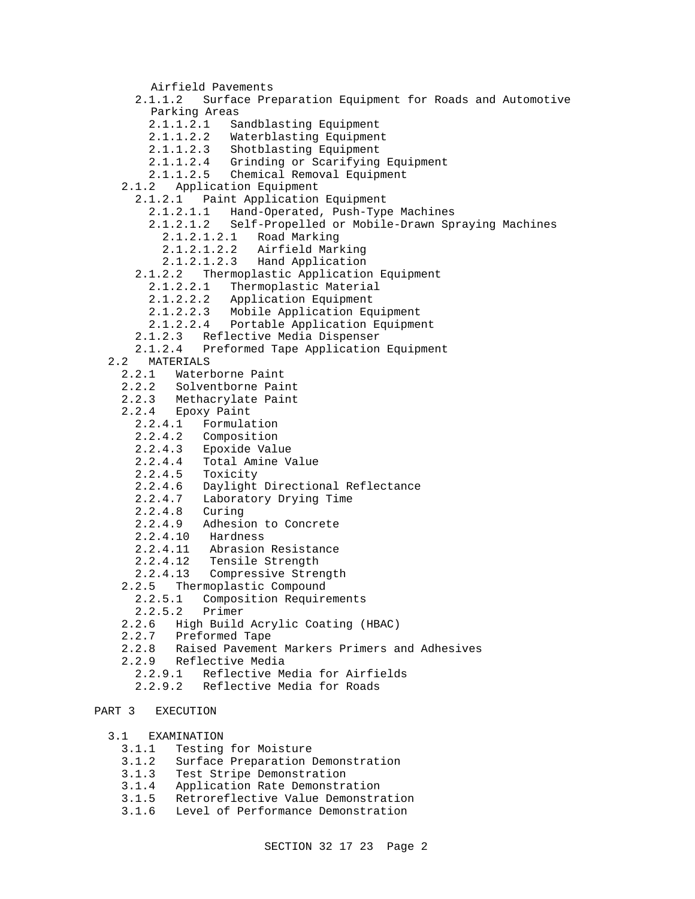Airfield Pavements 2.1.1.2 Surface Preparation Equipment for Roads and Automotive Parking Areas 2.1.1.2.1 Sandblasting Equipment 2.1.1.2.2 Waterblasting Equipment 2.1.1.2.3 Shotblasting Equipment 2.1.1.2.4 Grinding or Scarifying Equipment 2.1.1.2.5 Chemical Removal Equipment 2.1.2 Application Equipment 2.1.2.1 Paint Application Equipment 2.1.2.1.1 Hand-Operated, Push-Type Machines 2.1.2.1.2 Self-Propelled or Mobile-Drawn Spraying Machines 2.1.2.1.2.1 Road Marking 2.1.2.1.2.2 Airfield Marking 2.1.2.1.2.3 Hand Application 2.1.2.2 Thermoplastic Application Equipment 2.1.2.2.1 Thermoplastic Material 2.1.2.2.2 Application Equipment 2.1.2.2.3 Mobile Application Equipment 2.1.2.2.4 Portable Application Equipment 2.1.2.3 Reflective Media Dispenser 2.1.2.4 Preformed Tape Application Equipment 2.2 MATERIALS 2.2.1 Waterborne Paint 2.2.2 Solventborne Paint 2.2.3 Methacrylate Paint 2.2.4 Epoxy Paint 2.2.4.1 Formulation 2.2.4.2 Composition 2.2.4.3 Epoxide Value Total Amine Value 2.2.4.5 Toxicity 2.2.4.6 Daylight Directional Reflectance 2.2.4.7 Laboratory Drying Time 2.2.4.8 Curing 2.2.4.9 Adhesion to Concrete 2.2.4.10 Hardness 2.2.4.11 Abrasion Resistance 2.2.4.12 Tensile Strength 2.2.4.13 Compressive Strength 2.2.5 Thermoplastic Compound 2.2.5.1 Composition Requirements 2.2.5.2 Primer 2.2.6 High Build Acrylic Coating (HBAC) 2.2.7 Preformed Tape 2.2.8 Raised Pavement Markers Primers and Adhesives 2.2.9 Reflective Media 2.2.9.1 Reflective Media for Airfields 2.2.9.2 Reflective Media for Roads PART 3 EXECUTION 3.1 EXAMINATION

- 3.1.1 Testing for Moisture
- 3.1.2 Surface Preparation Demonstration
- Test Stripe Demonstration
- 3.1.4 Application Rate Demonstration
- 3.1.5 Retroreflective Value Demonstration
- 3.1.6 Level of Performance Demonstration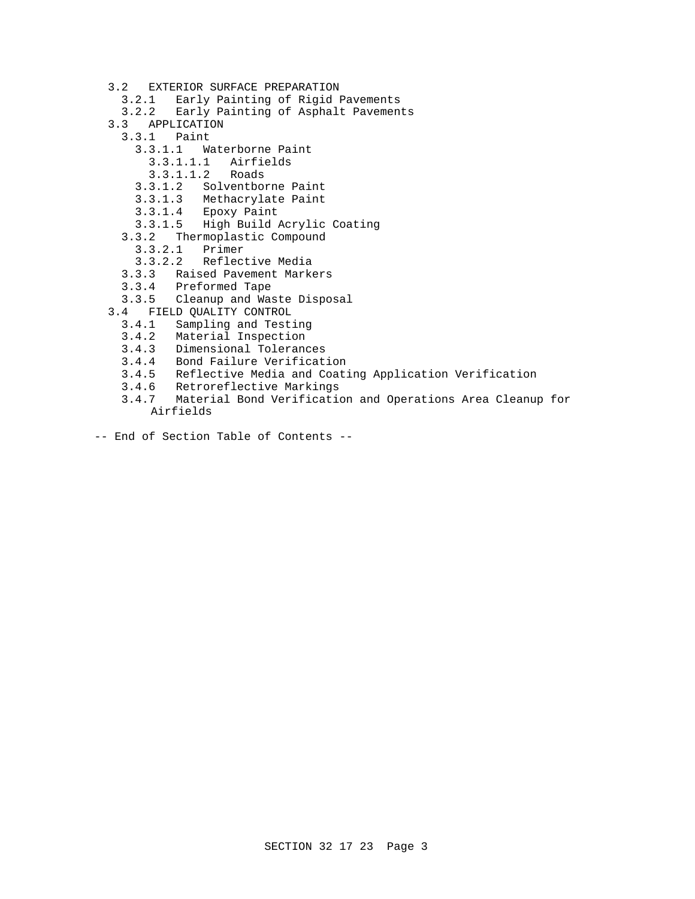- 3.2 EXTERIOR SURFACE PREPARATION
- 3.2.1 Early Painting of Rigid Pavements
- 3.2.2 Early Painting of Asphalt Pavements
- 3.3 APPLICATION
- 3.3.1 Paint
	- 3.3.1.1 Waterborne Paint
		- 3.3.1.1.1 Airfields
		- $3.3.1.1.2$
	- 3.3.1.2 Solventborne Paint
	- 3.3.1.3 Methacrylate Paint
	- 3.3.1.4 Epoxy Paint
	- 3.3.1.5 High Build Acrylic Coating
	- 3.3.2 Thermoplastic Compound
		-
	- 3.3.2.1 Primer 3.3.2.2 Reflective Media
	- 3.3.3 Raised Pavement Markers
	- 3.3.4 Preformed Tape
- 3.3.5 Cleanup and Waste Disposal
- 3.4 FIELD QUALITY CONTROL
	- 3.4.1 Sampling and Testing
	- 3.4.2 Material Inspection
	- 3.4.3 Dimensional Tolerances
	- 3.4.4 Bond Failure Verification
	- 3.4.5 Reflective Media and Coating Application Verification
	- 3.4.6 Retroreflective Markings
	- 3.4.7 Material Bond Verification and Operations Area Cleanup for Airfields
- -- End of Section Table of Contents --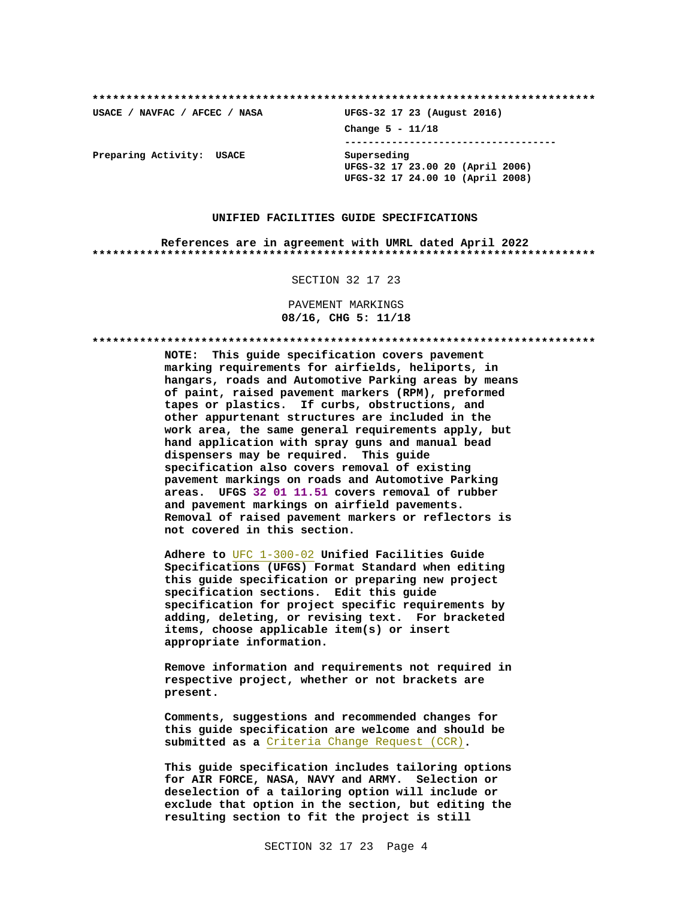UFGS-32 17 23 (August 2016) USACE / NAVFAC / AFCEC / NASA Change  $5 - 11/18$ --------------------------------------Preparing Activity: USACE Superseding UFGS-32 17 23.00 20 (April 2006) UFGS-32 17 24.00 10 (April 2008)

#### UNIFIED FACILITIES GUIDE SPECIFICATIONS

References are in agreement with UMRL dated April 2022 

SECTION 32 17 23

PAVEMENT MARKINGS 08/16, CHG 5: 11/18

NOTE: This guide specification covers pavement marking requirements for airfields, heliports, in hangars, roads and Automotive Parking areas by means of paint, raised pavement markers (RPM), preformed tapes or plastics. If curbs, obstructions, and other appurtenant structures are included in the work area, the same general requirements apply, but hand application with spray guns and manual bead dispensers may be required. This guide specification also covers removal of existing pavement markings on roads and Automotive Parking areas. UFGS 32 01 11.51 covers removal of rubber and pavement markings on airfield pavements. Removal of raised pavement markers or reflectors is not covered in this section.

Adhere to UFC 1-300-02 Unified Facilities Guide Specifications (UFGS) Format Standard when editing this guide specification or preparing new project specification sections. Edit this guide specification for project specific requirements by adding, deleting, or revising text. For bracketed items, choose applicable item(s) or insert appropriate information.

Remove information and requirements not required in respective project, whether or not brackets are present.

Comments, suggestions and recommended changes for this guide specification are welcome and should be submitted as a Criteria Change Request (CCR).

This guide specification includes tailoring options for AIR FORCE, NASA, NAVY and ARMY. Selection or deselection of a tailoring option will include or exclude that option in the section, but editing the resulting section to fit the project is still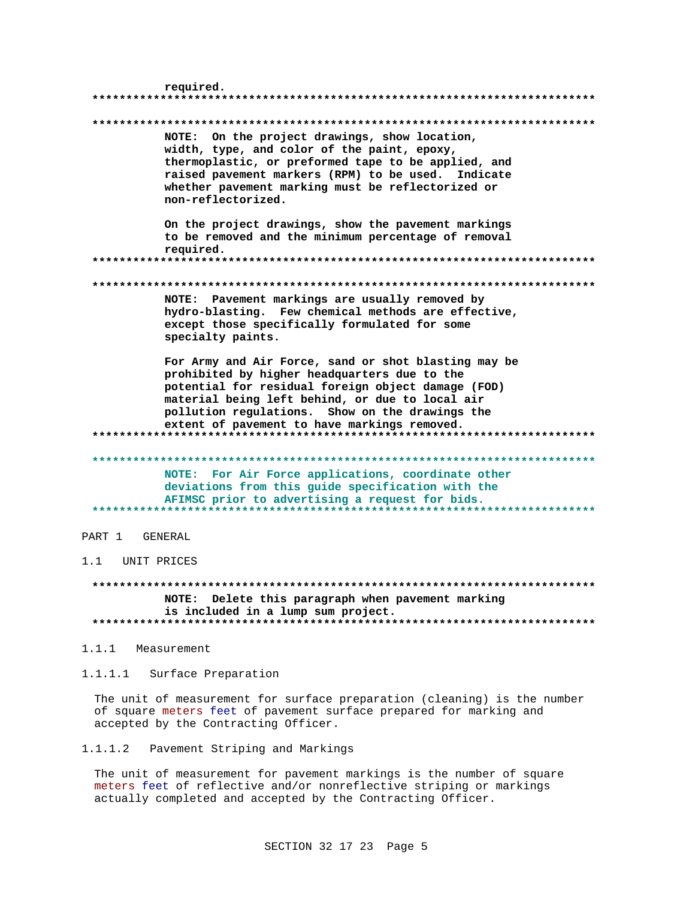| required.                                                                                                                                                                                                                                                                                                        |
|------------------------------------------------------------------------------------------------------------------------------------------------------------------------------------------------------------------------------------------------------------------------------------------------------------------|
| NOTE: On the project drawings, show location,<br>width, type, and color of the paint, epoxy,<br>thermoplastic, or preformed tape to be applied, and<br>raised pavement markers (RPM) to be used. Indicate<br>whether pavement marking must be reflectorized or<br>non-reflectorized.                             |
| On the project drawings, show the pavement markings<br>to be removed and the minimum percentage of removal<br>required.                                                                                                                                                                                          |
| NOTE: Pavement markings are usually removed by<br>hydro-blasting. Few chemical methods are effective,<br>except those specifically formulated for some<br>specialty paints.                                                                                                                                      |
| For Army and Air Force, sand or shot blasting may be<br>prohibited by higher headquarters due to the<br>potential for residual foreign object damage (FOD)<br>material being left behind, or due to local air<br>pollution regulations. Show on the drawings the<br>extent of pavement to have markings removed. |
| NOTE: For Air Force applications, coordinate other<br>deviations from this guide specification with the<br>AFIMSC prior to advertising a request for bids.                                                                                                                                                       |
| PART 1<br>GENERAL                                                                                                                                                                                                                                                                                                |
| 1.1<br>UNIT PRICES                                                                                                                                                                                                                                                                                               |
| NOTE: Delete this paragraph when pavement marking<br>is included in a lump sum project.                                                                                                                                                                                                                          |
| 1.1.1<br>Measurement                                                                                                                                                                                                                                                                                             |

Surface Preparation  $1.1.1.1$ 

The unit of measurement for surface preparation (cleaning) is the number of square meters feet of pavement surface prepared for marking and accepted by the Contracting Officer.

 $1.1.1.2$ Pavement Striping and Markings

The unit of measurement for pavement markings is the number of square meters feet of reflective and/or nonreflective striping or markings actually completed and accepted by the Contracting Officer.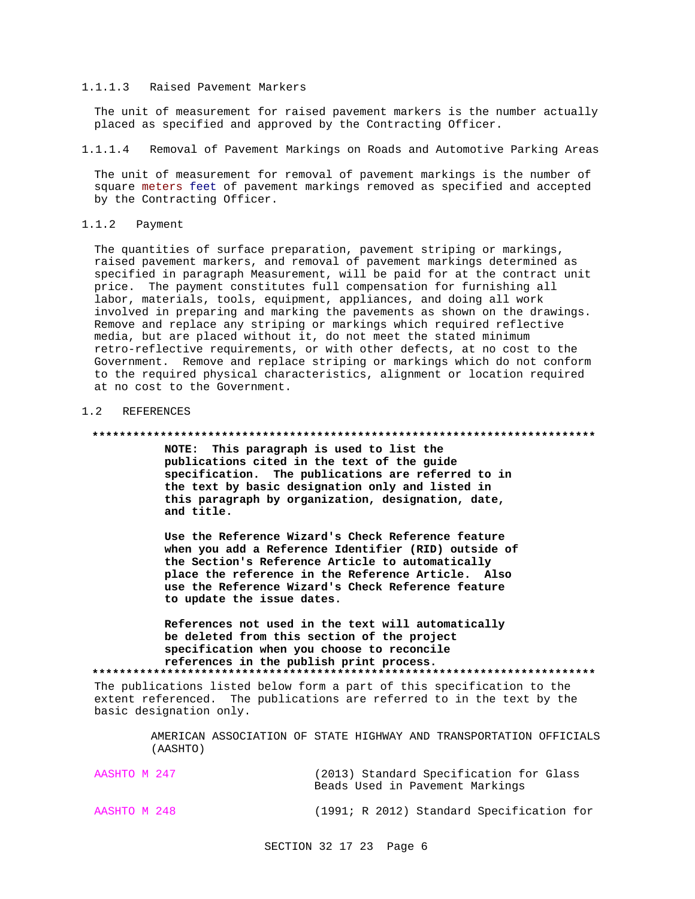### 1.1.1.3 Raised Pavement Markers

The unit of measurement for raised pavement markers is the number actually placed as specified and approved by the Contracting Officer.

1.1.1.4 Removal of Pavement Markings on Roads and Automotive Parking Areas

The unit of measurement for removal of pavement markings is the number of square meters feet of pavement markings removed as specified and accepted by the Contracting Officer.

### 1.1.2 Payment

The quantities of surface preparation, pavement striping or markings, raised pavement markers, and removal of pavement markings determined as specified in paragraph Measurement, will be paid for at the contract unit price. The payment constitutes full compensation for furnishing all labor, materials, tools, equipment, appliances, and doing all work involved in preparing and marking the pavements as shown on the drawings. Remove and replace any striping or markings which required reflective media, but are placed without it, do not meet the stated minimum retro-reflective requirements, or with other defects, at no cost to the Government. Remove and replace striping or markings which do not conform to the required physical characteristics, alignment or location required at no cost to the Government.

## 1.2 REFERENCES

#### **\*\*\*\*\*\*\*\*\*\*\*\*\*\*\*\*\*\*\*\*\*\*\*\*\*\*\*\*\*\*\*\*\*\*\*\*\*\*\*\*\*\*\*\*\*\*\*\*\*\*\*\*\*\*\*\*\*\*\*\*\*\*\*\*\*\*\*\*\*\*\*\*\*\***

**NOTE: This paragraph is used to list the publications cited in the text of the guide specification. The publications are referred to in the text by basic designation only and listed in this paragraph by organization, designation, date, and title.**

**Use the Reference Wizard's Check Reference feature when you add a Reference Identifier (RID) outside of the Section's Reference Article to automatically place the reference in the Reference Article. Also use the Reference Wizard's Check Reference feature to update the issue dates.**

**References not used in the text will automatically be deleted from this section of the project specification when you choose to reconcile references in the publish print process. \*\*\*\*\*\*\*\*\*\*\*\*\*\*\*\*\*\*\*\*\*\*\*\*\*\*\*\*\*\*\*\*\*\*\*\*\*\*\*\*\*\*\*\*\*\*\*\*\*\*\*\*\*\*\*\*\*\*\*\*\*\*\*\*\*\*\*\*\*\*\*\*\*\***

The publications listed below form a part of this specification to the extent referenced. The publications are referred to in the text by the basic designation only.

> AMERICAN ASSOCIATION OF STATE HIGHWAY AND TRANSPORTATION OFFICIALS (AASHTO)

| AASHTO M 247 | (2013) Standard Specification for Glass |  |
|--------------|-----------------------------------------|--|
|              | Beads Used in Pavement Markings         |  |

AASHTO M 248 (1991; R 2012) Standard Specification for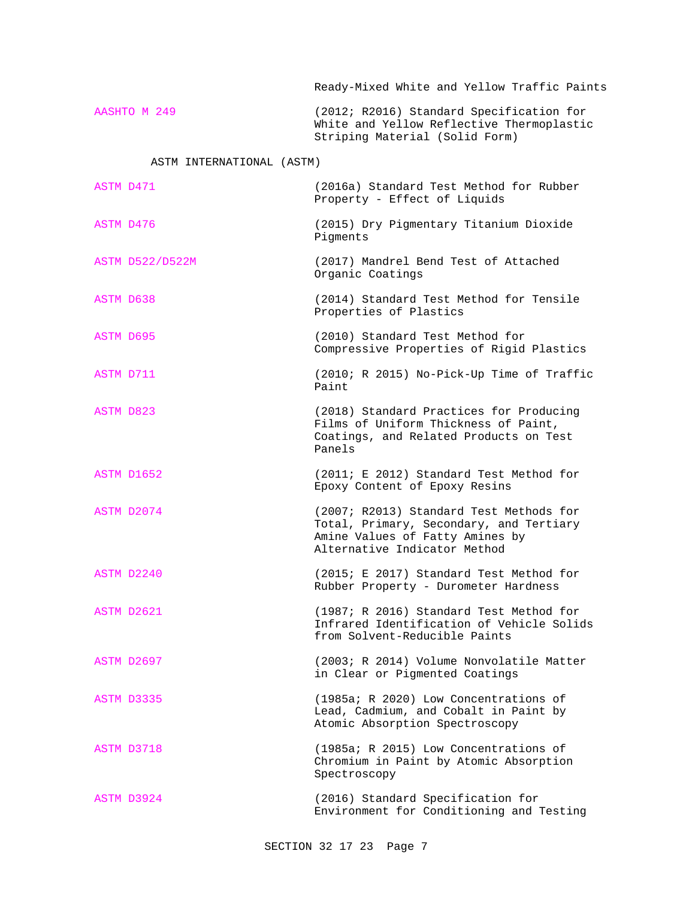Ready-Mixed White and Yellow Traffic Paints

AASHTO M 249 (2012; R2016) Standard Specification for White and Yellow Reflective Thermoplastic Striping Material (Solid Form)

# ASTM INTERNATIONAL (ASTM)

| ASTM D476<br>(2015) Dry Pigmentary Titanium Dioxide                                                                                                                 |  |
|---------------------------------------------------------------------------------------------------------------------------------------------------------------------|--|
| Pigments                                                                                                                                                            |  |
| (2017) Mandrel Bend Test of Attached<br><b>ASTM D522/D522M</b><br>Organic Coatings                                                                                  |  |
| ASTM D638<br>(2014) Standard Test Method for Tensile<br>Properties of Plastics                                                                                      |  |
| ASTM D695<br>(2010) Standard Test Method for<br>Compressive Properties of Rigid Plastics                                                                            |  |
| ASTM D711<br>(2010; R 2015) No-Pick-Up Time of Traffic<br>Paint                                                                                                     |  |
| ASTM D823<br>(2018) Standard Practices for Producing<br>Films of Uniform Thickness of Paint,<br>Coatings, and Related Products on Test<br>Panels                    |  |
| (2011; E 2012) Standard Test Method for<br>ASTM D1652<br>Epoxy Content of Epoxy Resins                                                                              |  |
| ASTM D2074<br>(2007; R2013) Standard Test Methods for<br>Total, Primary, Secondary, and Tertiary<br>Amine Values of Fatty Amines by<br>Alternative Indicator Method |  |
| ASTM D2240<br>(2015; E 2017) Standard Test Method for<br>Rubber Property - Durometer Hardness                                                                       |  |
| (1987; R 2016) Standard Test Method for<br>ASTM D2621<br>Infrared Identification of Vehicle Solids<br>from Solvent-Reducible Paints                                 |  |
| ASTM D2697<br>(2003; R 2014) Volume Nonvolatile Matter<br>in Clear or Pigmented Coatings                                                                            |  |
| (1985a; R 2020) Low Concentrations of<br>ASTM D3335<br>Lead, Cadmium, and Cobalt in Paint by<br>Atomic Absorption Spectroscopy                                      |  |
| (1985a; R 2015) Low Concentrations of<br>ASTM D3718<br>Chromium in Paint by Atomic Absorption<br>Spectroscopy                                                       |  |
| (2016) Standard Specification for<br>ASTM D3924<br>Environment for Conditioning and Testing                                                                         |  |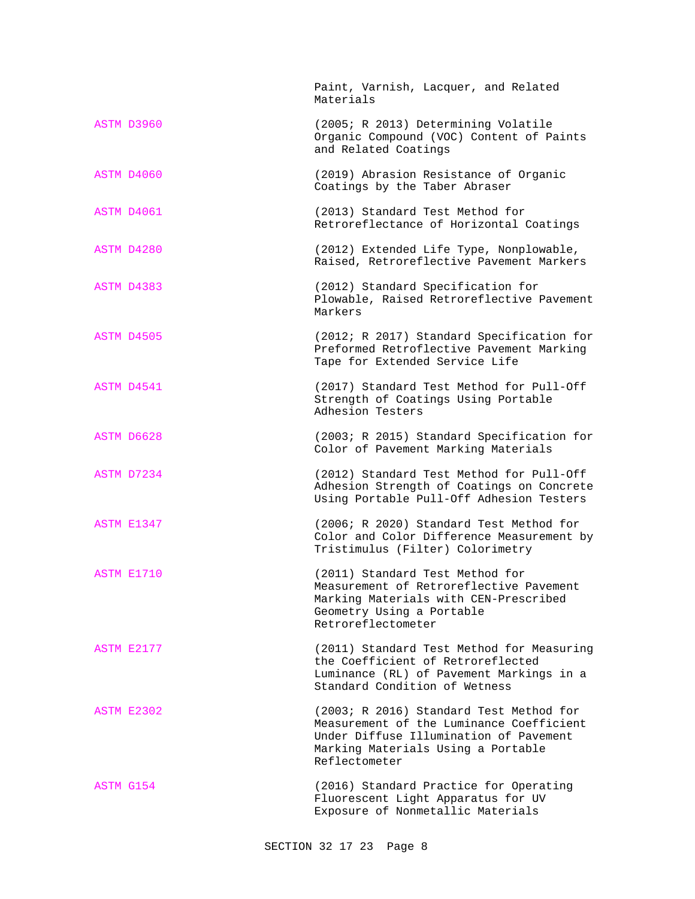|            | Paint, Varnish, Lacquer, and Related<br>Materials                                                                                                                                    |
|------------|--------------------------------------------------------------------------------------------------------------------------------------------------------------------------------------|
| ASTM D3960 | (2005; R 2013) Determining Volatile<br>Organic Compound (VOC) Content of Paints<br>and Related Coatings                                                                              |
| ASTM D4060 | (2019) Abrasion Resistance of Organic<br>Coatings by the Taber Abraser                                                                                                               |
| ASTM D4061 | (2013) Standard Test Method for<br>Retroreflectance of Horizontal Coatings                                                                                                           |
| ASTM D4280 | (2012) Extended Life Type, Nonplowable,<br>Raised, Retroreflective Pavement Markers                                                                                                  |
| ASTM D4383 | (2012) Standard Specification for<br>Plowable, Raised Retroreflective Pavement<br>Markers                                                                                            |
| ASTM D4505 | (2012; R 2017) Standard Specification for<br>Preformed Retroflective Pavement Marking<br>Tape for Extended Service Life                                                              |
| ASTM D4541 | (2017) Standard Test Method for Pull-Off<br>Strength of Coatings Using Portable<br>Adhesion Testers                                                                                  |
| ASTM D6628 | (2003; R 2015) Standard Specification for<br>Color of Pavement Marking Materials                                                                                                     |
| ASTM D7234 | (2012) Standard Test Method for Pull-Off<br>Adhesion Strength of Coatings on Concrete<br>Using Portable Pull-Off Adhesion Testers                                                    |
| ASTM E1347 | (2006; R 2020) Standard Test Method for<br>Color and Color Difference Measurement by<br>Tristimulus (Filter) Colorimetry                                                             |
| ASTM E1710 | (2011) Standard Test Method for<br>Measurement of Retroreflective Pavement<br>Marking Materials with CEN-Prescribed<br>Geometry Using a Portable<br>Retroreflectometer               |
| ASTM E2177 | (2011) Standard Test Method for Measuring<br>the Coefficient of Retroreflected<br>Luminance (RL) of Pavement Markings in a<br>Standard Condition of Wetness                          |
| ASTM E2302 | (2003; R 2016) Standard Test Method for<br>Measurement of the Luminance Coefficient<br>Under Diffuse Illumination of Pavement<br>Marking Materials Using a Portable<br>Reflectometer |
| ASTM G154  | (2016) Standard Practice for Operating<br>Fluorescent Light Apparatus for UV<br>Exposure of Nonmetallic Materials                                                                    |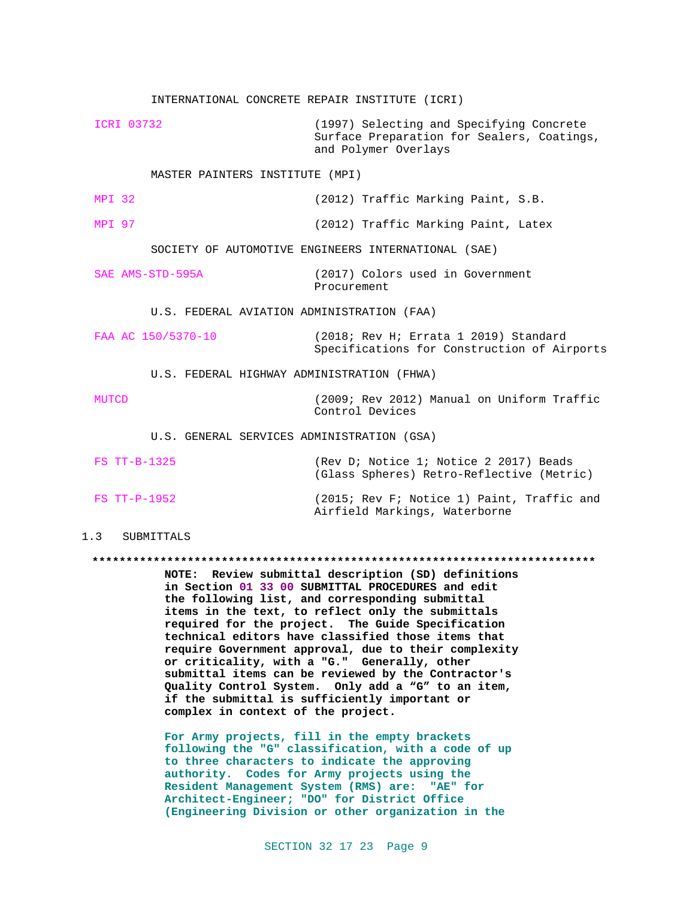INTERNATIONAL CONCRETE REPAIR INSTITUTE (ICRI) ICRI 03732 (1997) Selecting and Specifying Concrete Surface Preparation for Sealers, Coatings, and Polymer Overlays MASTER PAINTERS INSTITUTE (MPI) MPI 32 (2012) Traffic Marking Paint, S.B. MPI 97 (2012) Traffic Marking Paint, Latex SOCIETY OF AUTOMOTIVE ENGINEERS INTERNATIONAL (SAE) SAE AMS-STD-595A (2017) Colors used in Government Procurement U.S. FEDERAL AVIATION ADMINISTRATION (FAA) FAA AC 150/5370-10 (2018; Rev H; Errata 1 2019) Standard Specifications for Construction of Airports U.S. FEDERAL HIGHWAY ADMINISTRATION (FHWA) MUTCD (2009; Rev 2012) Manual on Uniform Traffic Control Devices U.S. GENERAL SERVICES ADMINISTRATION (GSA) FS TT-B-1325 (Rev D; Notice 1; Notice 2 2017) Beads (Glass Spheres) Retro-Reflective (Metric) FS TT-P-1952 (2015; Rev F; Notice 1) Paint, Traffic and

### 1.3 SUBMITTALS

#### **\*\*\*\*\*\*\*\*\*\*\*\*\*\*\*\*\*\*\*\*\*\*\*\*\*\*\*\*\*\*\*\*\*\*\*\*\*\*\*\*\*\*\*\*\*\*\*\*\*\*\*\*\*\*\*\*\*\*\*\*\*\*\*\*\*\*\*\*\*\*\*\*\*\***

Airfield Markings, Waterborne

**NOTE: Review submittal description (SD) definitions in Section 01 33 00 SUBMITTAL PROCEDURES and edit the following list, and corresponding submittal items in the text, to reflect only the submittals required for the project. The Guide Specification technical editors have classified those items that require Government approval, due to their complexity or criticality, with a "G." Generally, other submittal items can be reviewed by the Contractor's Quality Control System. Only add a "G" to an item, if the submittal is sufficiently important or complex in context of the project.**

**For Army projects, fill in the empty brackets following the "G" classification, with a code of up to three characters to indicate the approving authority. Codes for Army projects using the Resident Management System (RMS) are: "AE" for Architect-Engineer; "DO" for District Office (Engineering Division or other organization in the**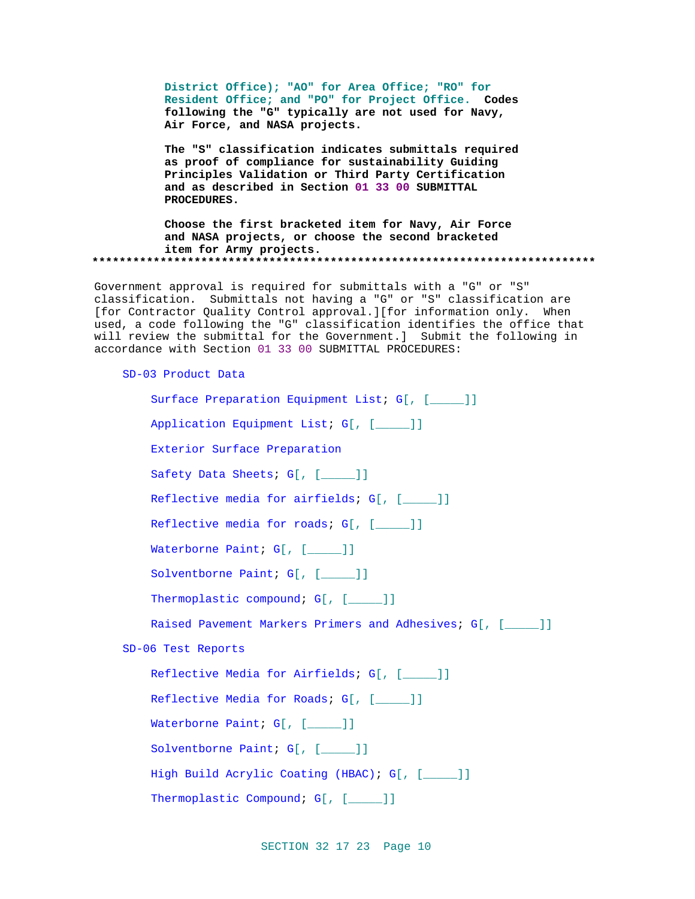**District Office); "AO" for Area Office; "RO" for Resident Office; and "PO" for Project Office. Codes following the "G" typically are not used for Navy, Air Force, and NASA projects.**

**The "S" classification indicates submittals required as proof of compliance for sustainability Guiding Principles Validation or Third Party Certification and as described in Section 01 33 00 SUBMITTAL PROCEDURES.**

**Choose the first bracketed item for Navy, Air Force and NASA projects, or choose the second bracketed item for Army projects. \*\*\*\*\*\*\*\*\*\*\*\*\*\*\*\*\*\*\*\*\*\*\*\*\*\*\*\*\*\*\*\*\*\*\*\*\*\*\*\*\*\*\*\*\*\*\*\*\*\*\*\*\*\*\*\*\*\*\*\*\*\*\*\*\*\*\*\*\*\*\*\*\*\***

Government approval is required for submittals with a "G" or "S" classification. Submittals not having a "G" or "S" classification are [for Contractor Quality Control approval.][for information only. When used, a code following the "G" classification identifies the office that will review the submittal for the Government.] Submit the following in accordance with Section 01 33 00 SUBMITTAL PROCEDURES:

SD-03 Product Data

```
Surface Preparation Equipment List; G[, [____]]
    Application Equipment List; G[, [_____]]
    Exterior Surface Preparation
    Safety Data Sheets; G[, [____]]
    Reflective media for airfields; G[, [____]]
    Reflective media for roads; G[, [____]]
    Waterborne Paint; G[, [____]]
    Solventborne Paint; G[, [____]]
    Thermoplastic compound; G[, [____]]
    Raised Pavement Markers Primers and Adhesives; G[, [_____]]
SD-06 Test Reports
    Reflective Media for Airfields; G[, [_____]]
    Reflective Media for Roads; G[, [____]]
    Waterborne Paint; G[, [____]]
    Solventborne Paint; G[, [____]]
    High Build Acrylic Coating (HBAC); G[, [_____]]
    Thermoplastic Compound; G[, [____]]
```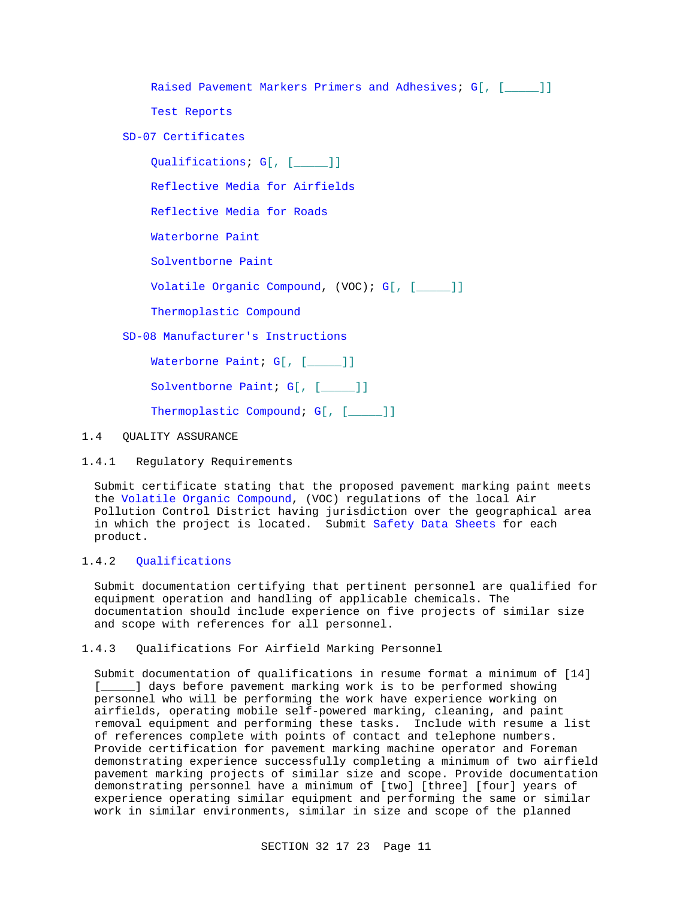Raised Pavement Markers Primers and Adhesives; G[, [\_\_\_\_\_]]

Test Reports

SD-07 Certificates

Qualifications; G[, [\_\_\_\_\_]]

Reflective Media for Airfields

Reflective Media for Roads

Waterborne Paint

Solventborne Paint

Volatile Organic Compound, (VOC); G[, [\_\_\_\_\_]]

Thermoplastic Compound

SD-08 Manufacturer's Instructions

Waterborne Paint; G[, [\_\_\_\_]]

Solventborne Paint; G[, [\_\_\_\_]]

Thermoplastic Compound; G[, [\_\_\_\_]]

# 1.4 QUALITY ASSURANCE

1.4.1 Regulatory Requirements

Submit certificate stating that the proposed pavement marking paint meets the Volatile Organic Compound, (VOC) regulations of the local Air Pollution Control District having jurisdiction over the geographical area in which the project is located. Submit Safety Data Sheets for each product.

# 1.4.2 Qualifications

Submit documentation certifying that pertinent personnel are qualified for equipment operation and handling of applicable chemicals. The documentation should include experience on five projects of similar size and scope with references for all personnel.

1.4.3 Qualifications For Airfield Marking Personnel

Submit documentation of qualifications in resume format a minimum of [14] [\_\_\_\_\_] days before pavement marking work is to be performed showing personnel who will be performing the work have experience working on airfields, operating mobile self-powered marking, cleaning, and paint removal equipment and performing these tasks. Include with resume a list of references complete with points of contact and telephone numbers. Provide certification for pavement marking machine operator and Foreman demonstrating experience successfully completing a minimum of two airfield pavement marking projects of similar size and scope. Provide documentation demonstrating personnel have a minimum of [two] [three] [four] years of experience operating similar equipment and performing the same or similar work in similar environments, similar in size and scope of the planned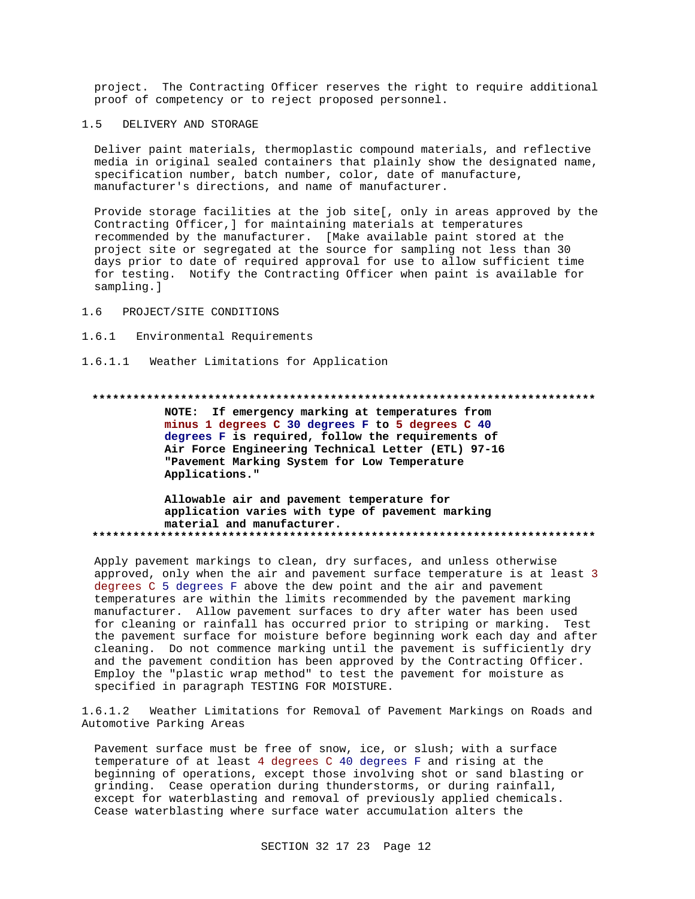project. The Contracting Officer reserves the right to require additional proof of competency or to reject proposed personnel.

#### $1.5$ DELIVERY AND STORAGE

Deliver paint materials, thermoplastic compound materials, and reflective media in original sealed containers that plainly show the designated name, specification number, batch number, color, date of manufacture, manufacturer's directions, and name of manufacturer.

Provide storage facilities at the job site[, only in areas approved by the Contracting Officer, ] for maintaining materials at temperatures recommended by the manufacturer. [Make available paint stored at the project site or segregated at the source for sampling not less than 30 days prior to date of required approval for use to allow sufficient time for testing. Notify the Contracting Officer when paint is available for sampling.]

#### $1.6$ PROJECT/SITE CONDITIONS

 $1.6.1$ Environmental Requirements

1.6.1.1 Weather Limitations for Application

## 

NOTE: If emergency marking at temperatures from minus 1 degrees C 30 degrees F to 5 degrees C 40 degrees F is required, follow the requirements of Air Force Engineering Technical Letter (ETL) 97-16 "Pavement Marking System for Low Temperature Applications."

## Allowable air and pavement temperature for application varies with type of pavement marking material and manufacturer.

Apply pavement markings to clean, dry surfaces, and unless otherwise approved, only when the air and pavement surface temperature is at least 3 degrees C 5 degrees F above the dew point and the air and pavement temperatures are within the limits recommended by the pavement marking manufacturer. Allow pavement surfaces to dry after water has been used for cleaning or rainfall has occurred prior to striping or marking. Test the pavement surface for moisture before beginning work each day and after cleaning. Do not commence marking until the pavement is sufficiently dry and the pavement condition has been approved by the Contracting Officer. Employ the "plastic wrap method" to test the pavement for moisture as specified in paragraph TESTING FOR MOISTURE.

Weather Limitations for Removal of Pavement Markings on Roads and  $1.6.1.2$ Automotive Parking Areas

Pavement surface must be free of snow, ice, or slush; with a surface temperature of at least 4 degrees C 40 degrees F and rising at the beginning of operations, except those involving shot or sand blasting or grinding. Cease operation during thunderstorms, or during rainfall, except for waterblasting and removal of previously applied chemicals. Cease waterblasting where surface water accumulation alters the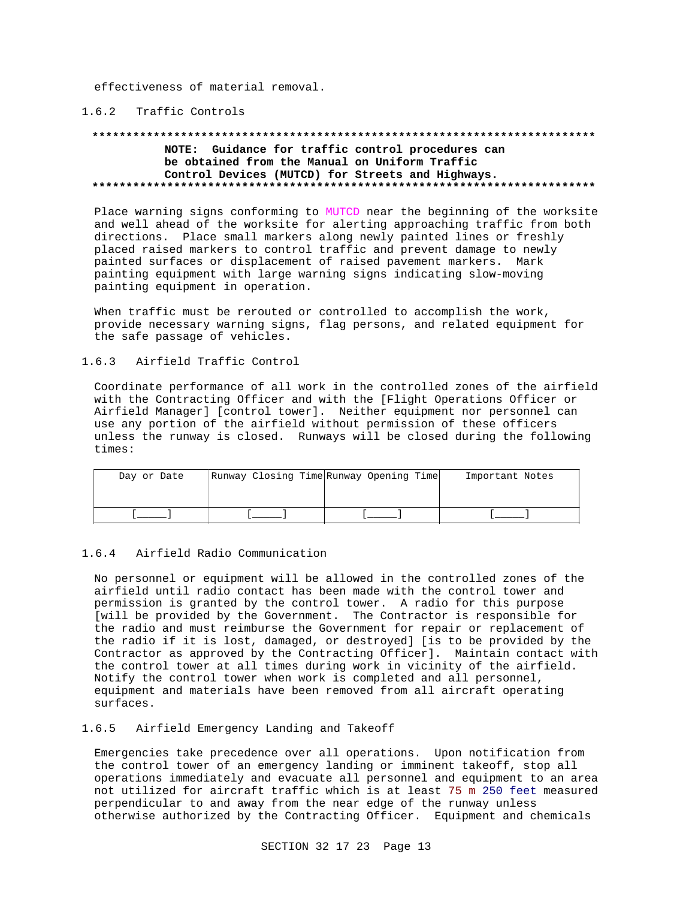effectiveness of material removal.

# 1.6.2 Traffic Controls

#### **\*\*\*\*\*\*\*\*\*\*\*\*\*\*\*\*\*\*\*\*\*\*\*\*\*\*\*\*\*\*\*\*\*\*\*\*\*\*\*\*\*\*\*\*\*\*\*\*\*\*\*\*\*\*\*\*\*\*\*\*\*\*\*\*\*\*\*\*\*\*\*\*\*\***

# **NOTE: Guidance for traffic control procedures can be obtained from the Manual on Uniform Traffic Control Devices (MUTCD) for Streets and Highways. \*\*\*\*\*\*\*\*\*\*\*\*\*\*\*\*\*\*\*\*\*\*\*\*\*\*\*\*\*\*\*\*\*\*\*\*\*\*\*\*\*\*\*\*\*\*\*\*\*\*\*\*\*\*\*\*\*\*\*\*\*\*\*\*\*\*\*\*\*\*\*\*\*\***

Place warning signs conforming to MUTCD near the beginning of the worksite and well ahead of the worksite for alerting approaching traffic from both directions. Place small markers along newly painted lines or freshly placed raised markers to control traffic and prevent damage to newly painted surfaces or displacement of raised pavement markers. Mark painting equipment with large warning signs indicating slow-moving painting equipment in operation.

When traffic must be rerouted or controlled to accomplish the work, provide necessary warning signs, flag persons, and related equipment for the safe passage of vehicles.

## 1.6.3 Airfield Traffic Control

Coordinate performance of all work in the controlled zones of the airfield with the Contracting Officer and with the [Flight Operations Officer or Airfield Manager] [control tower]. Neither equipment nor personnel can use any portion of the airfield without permission of these officers unless the runway is closed. Runways will be closed during the following times:

| Day or Date | Runway Closing Time Runway Opening Time | Important Notes |
|-------------|-----------------------------------------|-----------------|
|             |                                         |                 |
|             |                                         |                 |
|             |                                         |                 |

### 1.6.4 Airfield Radio Communication

No personnel or equipment will be allowed in the controlled zones of the airfield until radio contact has been made with the control tower and permission is granted by the control tower. A radio for this purpose [will be provided by the Government. The Contractor is responsible for the radio and must reimburse the Government for repair or replacement of the radio if it is lost, damaged, or destroyed] [is to be provided by the Contractor as approved by the Contracting Officer]. Maintain contact with the control tower at all times during work in vicinity of the airfield. Notify the control tower when work is completed and all personnel, equipment and materials have been removed from all aircraft operating surfaces.

# 1.6.5 Airfield Emergency Landing and Takeoff

Emergencies take precedence over all operations. Upon notification from the control tower of an emergency landing or imminent takeoff, stop all operations immediately and evacuate all personnel and equipment to an area not utilized for aircraft traffic which is at least 75 m 250 feet measured perpendicular to and away from the near edge of the runway unless otherwise authorized by the Contracting Officer. Equipment and chemicals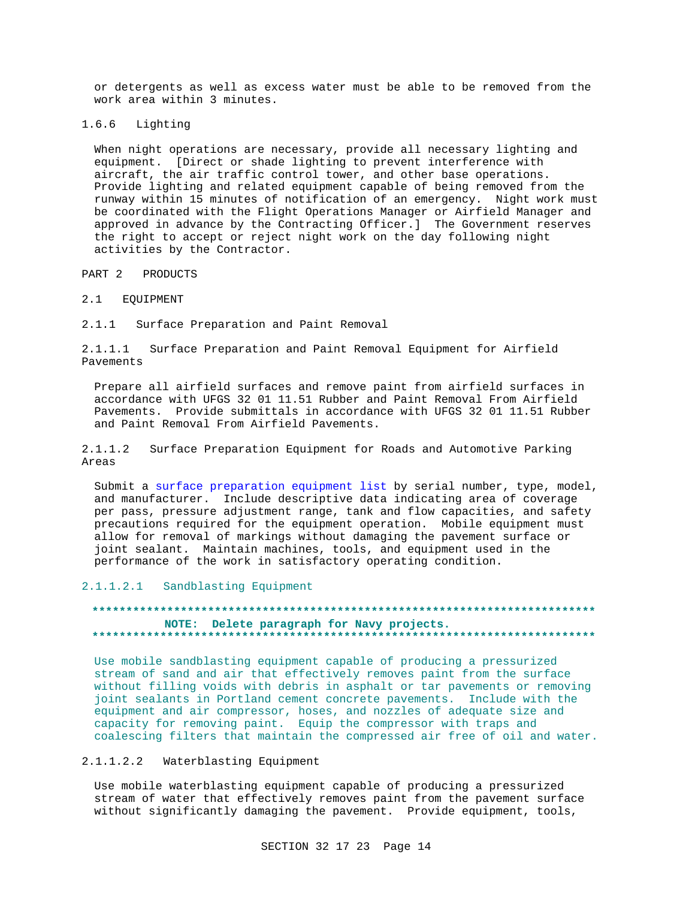or detergents as well as excess water must be able to be removed from the work area within 3 minutes.

1.6.6 Lighting

> When night operations are necessary, provide all necessary lighting and equipment. [Direct or shade lighting to prevent interference with aircraft, the air traffic control tower, and other base operations. Provide lighting and related equipment capable of being removed from the runway within 15 minutes of notification of an emergency. Night work must be coordinated with the Flight Operations Manager or Airfield Manager and approved in advance by the Contracting Officer.] The Government reserves the right to accept or reject night work on the day following night activities by the Contractor.

PRODUCTS PART 2

 $2.1$ EQUIPMENT

 $2.1.1$ Surface Preparation and Paint Removal

Surface Preparation and Paint Removal Equipment for Airfield  $2.1.1.1$ Pavements

Prepare all airfield surfaces and remove paint from airfield surfaces in accordance with UFGS 32 01 11.51 Rubber and Paint Removal From Airfield Pavements. Provide submittals in accordance with UFGS 32 01 11.51 Rubber and Paint Removal From Airfield Pavements.

 $2.1.1.2$ Surface Preparation Equipment for Roads and Automotive Parking Areas

Submit a surface preparation equipment list by serial number, type, model, and manufacturer. Include descriptive data indicating area of coverage per pass, pressure adjustment range, tank and flow capacities, and safety precautions required for the equipment operation. Mobile equipment must allow for removal of markings without damaging the pavement surface or joint sealant. Maintain machines, tools, and equipment used in the performance of the work in satisfactory operating condition.

 $2.1.1.2.1$ Sandblasting Equipment

# NOTE: Delete paragraph for Navy projects.

Use mobile sandblasting equipment capable of producing a pressurized stream of sand and air that effectively removes paint from the surface without filling voids with debris in asphalt or tar pavements or removing joint sealants in Portland cement concrete pavements. Include with the equipment and air compressor, hoses, and nozzles of adequate size and capacity for removing paint. Equip the compressor with traps and coalescing filters that maintain the compressed air free of oil and water.

2.1.1.2.2 Waterblasting Equipment

Use mobile waterblasting equipment capable of producing a pressurized stream of water that effectively removes paint from the pavement surface without significantly damaging the pavement. Provide equipment, tools,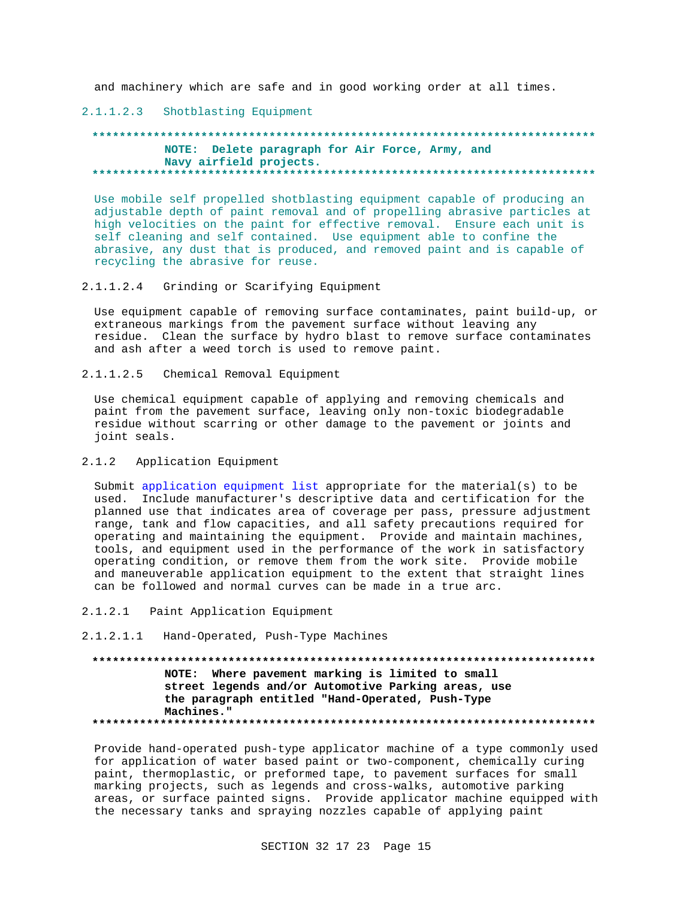and machinery which are safe and in good working order at all times.

# 2.1.1.2.3 Shotblasting Equipment

# **\*\*\*\*\*\*\*\*\*\*\*\*\*\*\*\*\*\*\*\*\*\*\*\*\*\*\*\*\*\*\*\*\*\*\*\*\*\*\*\*\*\*\*\*\*\*\*\*\*\*\*\*\*\*\*\*\*\*\*\*\*\*\*\*\*\*\*\*\*\*\*\*\*\* NOTE: Delete paragraph for Air Force, Army, and Navy airfield projects. \*\*\*\*\*\*\*\*\*\*\*\*\*\*\*\*\*\*\*\*\*\*\*\*\*\*\*\*\*\*\*\*\*\*\*\*\*\*\*\*\*\*\*\*\*\*\*\*\*\*\*\*\*\*\*\*\*\*\*\*\*\*\*\*\*\*\*\*\*\*\*\*\*\***

Use mobile self propelled shotblasting equipment capable of producing an adjustable depth of paint removal and of propelling abrasive particles at high velocities on the paint for effective removal. Ensure each unit is self cleaning and self contained. Use equipment able to confine the abrasive, any dust that is produced, and removed paint and is capable of recycling the abrasive for reuse.

2.1.1.2.4 Grinding or Scarifying Equipment

Use equipment capable of removing surface contaminates, paint build-up, or extraneous markings from the pavement surface without leaving any residue. Clean the surface by hydro blast to remove surface contaminates and ash after a weed torch is used to remove paint.

2.1.1.2.5 Chemical Removal Equipment

Use chemical equipment capable of applying and removing chemicals and paint from the pavement surface, leaving only non-toxic biodegradable residue without scarring or other damage to the pavement or joints and joint seals.

## 2.1.2 Application Equipment

Submit application equipment list appropriate for the material(s) to be used. Include manufacturer's descriptive data and certification for the planned use that indicates area of coverage per pass, pressure adjustment range, tank and flow capacities, and all safety precautions required for operating and maintaining the equipment. Provide and maintain machines, tools, and equipment used in the performance of the work in satisfactory operating condition, or remove them from the work site. Provide mobile and maneuverable application equipment to the extent that straight lines can be followed and normal curves can be made in a true arc.

- 2.1.2.1 Paint Application Equipment
- 2.1.2.1.1 Hand-Operated, Push-Type Machines

**\*\*\*\*\*\*\*\*\*\*\*\*\*\*\*\*\*\*\*\*\*\*\*\*\*\*\*\*\*\*\*\*\*\*\*\*\*\*\*\*\*\*\*\*\*\*\*\*\*\*\*\*\*\*\*\*\*\*\*\*\*\*\*\*\*\*\*\*\*\*\*\*\*\* NOTE: Where pavement marking is limited to small street legends and/or Automotive Parking areas, use the paragraph entitled "Hand-Operated, Push-Type Machines." \*\*\*\*\*\*\*\*\*\*\*\*\*\*\*\*\*\*\*\*\*\*\*\*\*\*\*\*\*\*\*\*\*\*\*\*\*\*\*\*\*\*\*\*\*\*\*\*\*\*\*\*\*\*\*\*\*\*\*\*\*\*\*\*\*\*\*\*\*\*\*\*\*\***

Provide hand-operated push-type applicator machine of a type commonly used for application of water based paint or two-component, chemically curing paint, thermoplastic, or preformed tape, to pavement surfaces for small marking projects, such as legends and cross-walks, automotive parking areas, or surface painted signs. Provide applicator machine equipped with the necessary tanks and spraying nozzles capable of applying paint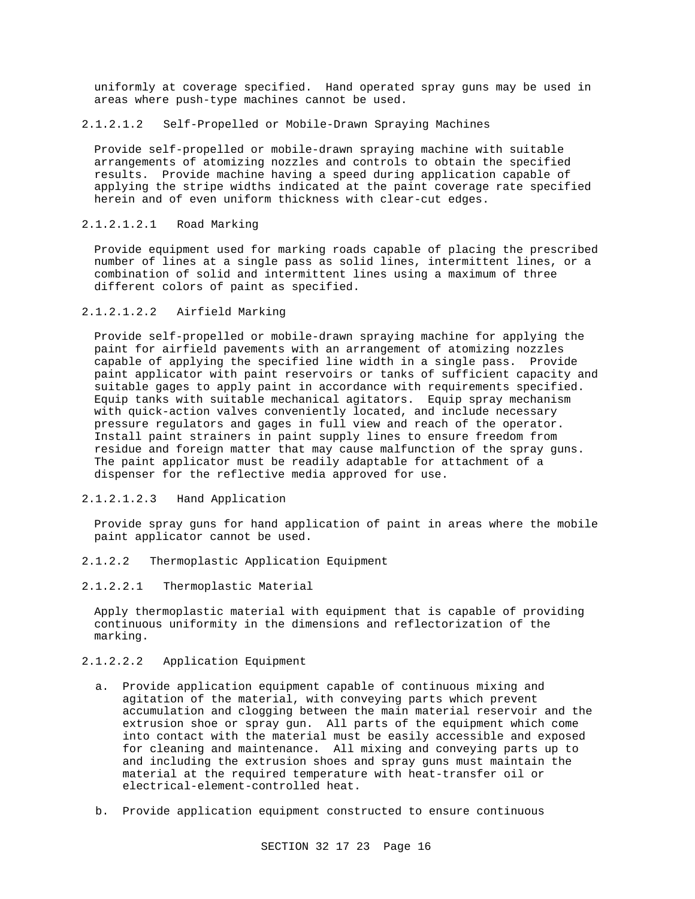uniformly at coverage specified. Hand operated spray guns may be used in areas where push-type machines cannot be used.

# 2.1.2.1.2 Self-Propelled or Mobile-Drawn Spraying Machines

Provide self-propelled or mobile-drawn spraying machine with suitable arrangements of atomizing nozzles and controls to obtain the specified results. Provide machine having a speed during application capable of applying the stripe widths indicated at the paint coverage rate specified herein and of even uniform thickness with clear-cut edges.

# 2.1.2.1.2.1 Road Marking

Provide equipment used for marking roads capable of placing the prescribed number of lines at a single pass as solid lines, intermittent lines, or a combination of solid and intermittent lines using a maximum of three different colors of paint as specified.

# 2.1.2.1.2.2 Airfield Marking

Provide self-propelled or mobile-drawn spraying machine for applying the paint for airfield pavements with an arrangement of atomizing nozzles capable of applying the specified line width in a single pass. Provide paint applicator with paint reservoirs or tanks of sufficient capacity and suitable gages to apply paint in accordance with requirements specified. Equip tanks with suitable mechanical agitators. Equip spray mechanism with quick-action valves conveniently located, and include necessary pressure regulators and gages in full view and reach of the operator. Install paint strainers in paint supply lines to ensure freedom from residue and foreign matter that may cause malfunction of the spray guns. The paint applicator must be readily adaptable for attachment of a dispenser for the reflective media approved for use.

# 2.1.2.1.2.3 Hand Application

Provide spray guns for hand application of paint in areas where the mobile paint applicator cannot be used.

- 2.1.2.2 Thermoplastic Application Equipment
- 2.1.2.2.1 Thermoplastic Material

Apply thermoplastic material with equipment that is capable of providing continuous uniformity in the dimensions and reflectorization of the marking.

# 2.1.2.2.2 Application Equipment

- a. Provide application equipment capable of continuous mixing and agitation of the material, with conveying parts which prevent accumulation and clogging between the main material reservoir and the extrusion shoe or spray gun. All parts of the equipment which come into contact with the material must be easily accessible and exposed for cleaning and maintenance. All mixing and conveying parts up to and including the extrusion shoes and spray guns must maintain the material at the required temperature with heat-transfer oil or electrical-element-controlled heat.
- b. Provide application equipment constructed to ensure continuous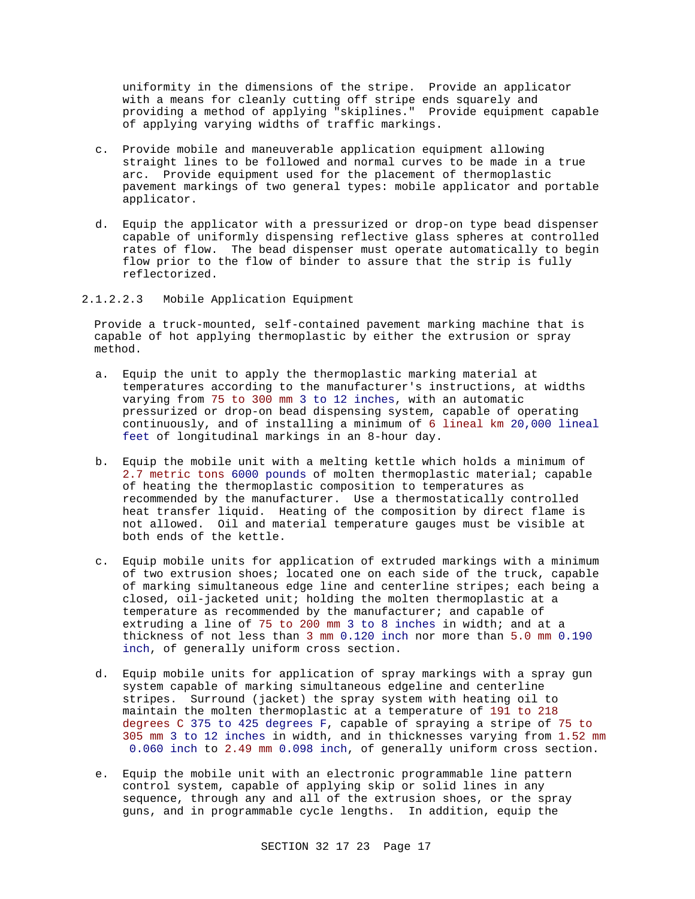uniformity in the dimensions of the stripe. Provide an applicator with a means for cleanly cutting off stripe ends squarely and providing a method of applying "skiplines." Provide equipment capable of applying varying widths of traffic markings.

- c. Provide mobile and maneuverable application equipment allowing straight lines to be followed and normal curves to be made in a true arc. Provide equipment used for the placement of thermoplastic pavement markings of two general types: mobile applicator and portable applicator.
- d. Equip the applicator with a pressurized or drop-on type bead dispenser capable of uniformly dispensing reflective glass spheres at controlled rates of flow. The bead dispenser must operate automatically to begin flow prior to the flow of binder to assure that the strip is fully reflectorized.
- 2.1.2.2.3 Mobile Application Equipment

Provide a truck-mounted, self-contained pavement marking machine that is capable of hot applying thermoplastic by either the extrusion or spray method.

- a. Equip the unit to apply the thermoplastic marking material at temperatures according to the manufacturer's instructions, at widths varying from 75 to 300 mm 3 to 12 inches, with an automatic pressurized or drop-on bead dispensing system, capable of operating continuously, and of installing a minimum of 6 lineal km 20,000 lineal feet of longitudinal markings in an 8-hour day.
- b. Equip the mobile unit with a melting kettle which holds a minimum of 2.7 metric tons 6000 pounds of molten thermoplastic material; capable of heating the thermoplastic composition to temperatures as recommended by the manufacturer. Use a thermostatically controlled heat transfer liquid. Heating of the composition by direct flame is not allowed. Oil and material temperature gauges must be visible at both ends of the kettle.
- c. Equip mobile units for application of extruded markings with a minimum of two extrusion shoes; located one on each side of the truck, capable of marking simultaneous edge line and centerline stripes; each being a closed, oil-jacketed unit; holding the molten thermoplastic at a temperature as recommended by the manufacturer; and capable of extruding a line of 75 to 200 mm 3 to 8 inches in width; and at a thickness of not less than 3 mm 0.120 inch nor more than 5.0 mm 0.190 inch, of generally uniform cross section.
- d. Equip mobile units for application of spray markings with a spray gun system capable of marking simultaneous edgeline and centerline stripes. Surround (jacket) the spray system with heating oil to maintain the molten thermoplastic at a temperature of 191 to 218 degrees C 375 to 425 degrees F, capable of spraying a stripe of 75 to 305 mm 3 to 12 inches in width, and in thicknesses varying from 1.52 mm 0.060 inch to 2.49 mm 0.098 inch, of generally uniform cross section.
- e. Equip the mobile unit with an electronic programmable line pattern control system, capable of applying skip or solid lines in any sequence, through any and all of the extrusion shoes, or the spray guns, and in programmable cycle lengths. In addition, equip the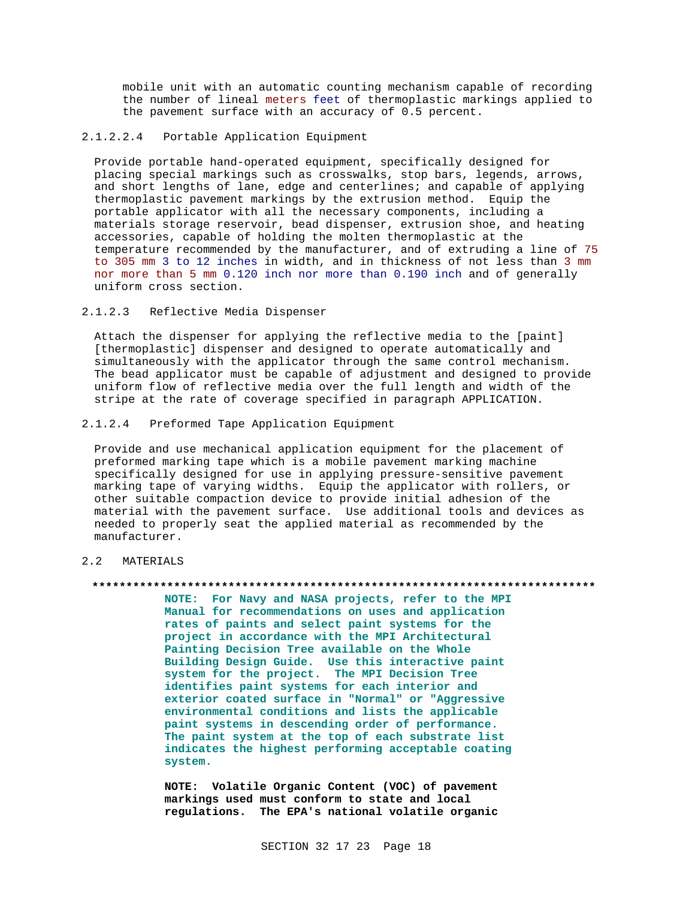mobile unit with an automatic counting mechanism capable of recording the number of lineal meters feet of thermoplastic markings applied to the pavement surface with an accuracy of 0.5 percent.

# 2.1.2.2.4 Portable Application Equipment

Provide portable hand-operated equipment, specifically designed for placing special markings such as crosswalks, stop bars, legends, arrows, and short lengths of lane, edge and centerlines; and capable of applying thermoplastic pavement markings by the extrusion method. Equip the portable applicator with all the necessary components, including a materials storage reservoir, bead dispenser, extrusion shoe, and heating accessories, capable of holding the molten thermoplastic at the temperature recommended by the manufacturer, and of extruding a line of 75 to 305 mm 3 to 12 inches in width, and in thickness of not less than 3 mm nor more than 5 mm 0.120 inch nor more than 0.190 inch and of generally uniform cross section.

# 2.1.2.3 Reflective Media Dispenser

Attach the dispenser for applying the reflective media to the [paint] [thermoplastic] dispenser and designed to operate automatically and simultaneously with the applicator through the same control mechanism. The bead applicator must be capable of adjustment and designed to provide uniform flow of reflective media over the full length and width of the stripe at the rate of coverage specified in paragraph APPLICATION.

## 2.1.2.4 Preformed Tape Application Equipment

Provide and use mechanical application equipment for the placement of preformed marking tape which is a mobile pavement marking machine specifically designed for use in applying pressure-sensitive pavement marking tape of varying widths. Equip the applicator with rollers, or other suitable compaction device to provide initial adhesion of the material with the pavement surface. Use additional tools and devices as needed to properly seat the applied material as recommended by the manufacturer.

# 2.2 MATERIALS

# **\*\*\*\*\*\*\*\*\*\*\*\*\*\*\*\*\*\*\*\*\*\*\*\*\*\*\*\*\*\*\*\*\*\*\*\*\*\*\*\*\*\*\*\*\*\*\*\*\*\*\*\*\*\*\*\*\*\*\*\*\*\*\*\*\*\*\*\*\*\*\*\*\*\***

**NOTE: For Navy and NASA projects, refer to the MPI Manual for recommendations on uses and application rates of paints and select paint systems for the project in accordance with the MPI Architectural Painting Decision Tree available on the Whole Building Design Guide. Use this interactive paint system for the project. The MPI Decision Tree identifies paint systems for each interior and exterior coated surface in "Normal" or "Aggressive environmental conditions and lists the applicable paint systems in descending order of performance. The paint system at the top of each substrate list indicates the highest performing acceptable coating system.**

**NOTE: Volatile Organic Content (VOC) of pavement markings used must conform to state and local regulations. The EPA's national volatile organic**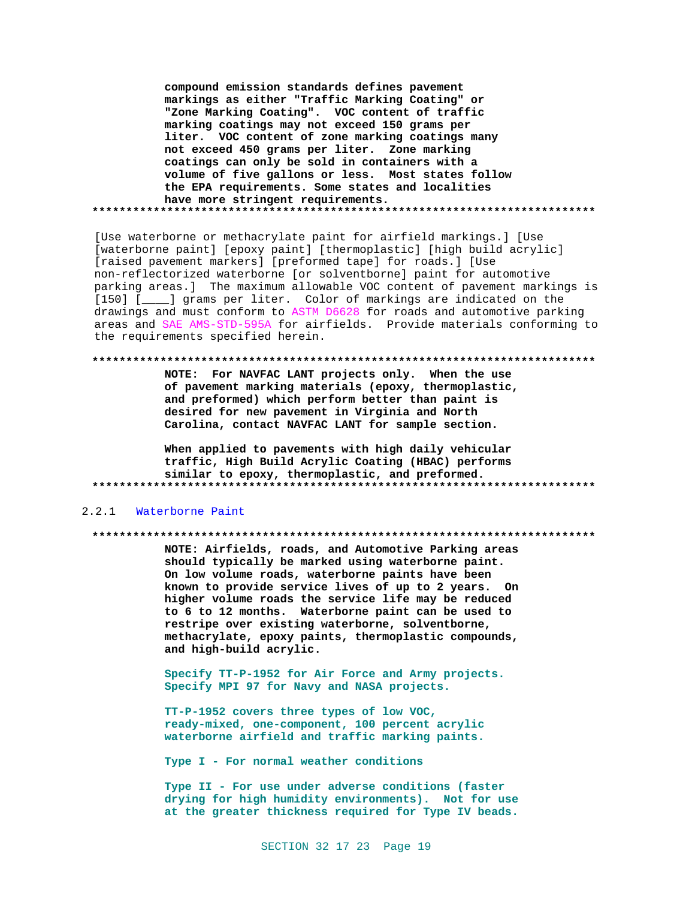**compound emission standards defines pavement markings as either "Traffic Marking Coating" or "Zone Marking Coating". VOC content of traffic marking coatings may not exceed 150 grams per liter. VOC content of zone marking coatings many not exceed 450 grams per liter. Zone marking coatings can only be sold in containers with a volume of five gallons or less. Most states follow the EPA requirements. Some states and localities have more stringent requirements. \*\*\*\*\*\*\*\*\*\*\*\*\*\*\*\*\*\*\*\*\*\*\*\*\*\*\*\*\*\*\*\*\*\*\*\*\*\*\*\*\*\*\*\*\*\*\*\*\*\*\*\*\*\*\*\*\*\*\*\*\*\*\*\*\*\*\*\*\*\*\*\*\*\***

[Use waterborne or methacrylate paint for airfield markings.] [Use [waterborne paint] [epoxy paint] [thermoplastic] [high build acrylic] [raised pavement markers] [preformed tape] for roads.] [Use non-reflectorized waterborne [or solventborne] paint for automotive parking areas.] The maximum allowable VOC content of pavement markings is [150] [\_\_\_\_] grams per liter. Color of markings are indicated on the drawings and must conform to ASTM D6628 for roads and automotive parking areas and SAE AMS-STD-595A for airfields. Provide materials conforming to the requirements specified herein.

#### **\*\*\*\*\*\*\*\*\*\*\*\*\*\*\*\*\*\*\*\*\*\*\*\*\*\*\*\*\*\*\*\*\*\*\*\*\*\*\*\*\*\*\*\*\*\*\*\*\*\*\*\*\*\*\*\*\*\*\*\*\*\*\*\*\*\*\*\*\*\*\*\*\*\***

**NOTE: For NAVFAC LANT projects only. When the use of pavement marking materials (epoxy, thermoplastic, and preformed) which perform better than paint is desired for new pavement in Virginia and North Carolina, contact NAVFAC LANT for sample section.**

**When applied to pavements with high daily vehicular traffic, High Build Acrylic Coating (HBAC) performs similar to epoxy, thermoplastic, and preformed. \*\*\*\*\*\*\*\*\*\*\*\*\*\*\*\*\*\*\*\*\*\*\*\*\*\*\*\*\*\*\*\*\*\*\*\*\*\*\*\*\*\*\*\*\*\*\*\*\*\*\*\*\*\*\*\*\*\*\*\*\*\*\*\*\*\*\*\*\*\*\*\*\*\***

#### 2.2.1 Waterborne Paint

#### **\*\*\*\*\*\*\*\*\*\*\*\*\*\*\*\*\*\*\*\*\*\*\*\*\*\*\*\*\*\*\*\*\*\*\*\*\*\*\*\*\*\*\*\*\*\*\*\*\*\*\*\*\*\*\*\*\*\*\*\*\*\*\*\*\*\*\*\*\*\*\*\*\*\***

**NOTE: Airfields, roads, and Automotive Parking areas should typically be marked using waterborne paint. On low volume roads, waterborne paints have been known to provide service lives of up to 2 years. On higher volume roads the service life may be reduced to 6 to 12 months. Waterborne paint can be used to restripe over existing waterborne, solventborne, methacrylate, epoxy paints, thermoplastic compounds, and high-build acrylic.**

**Specify TT-P-1952 for Air Force and Army projects. Specify MPI 97 for Navy and NASA projects.**

**TT-P-1952 covers three types of low VOC, ready-mixed, one-component, 100 percent acrylic waterborne airfield and traffic marking paints.**

**Type I - For normal weather conditions**

**Type II - For use under adverse conditions (faster drying for high humidity environments). Not for use at the greater thickness required for Type IV beads.**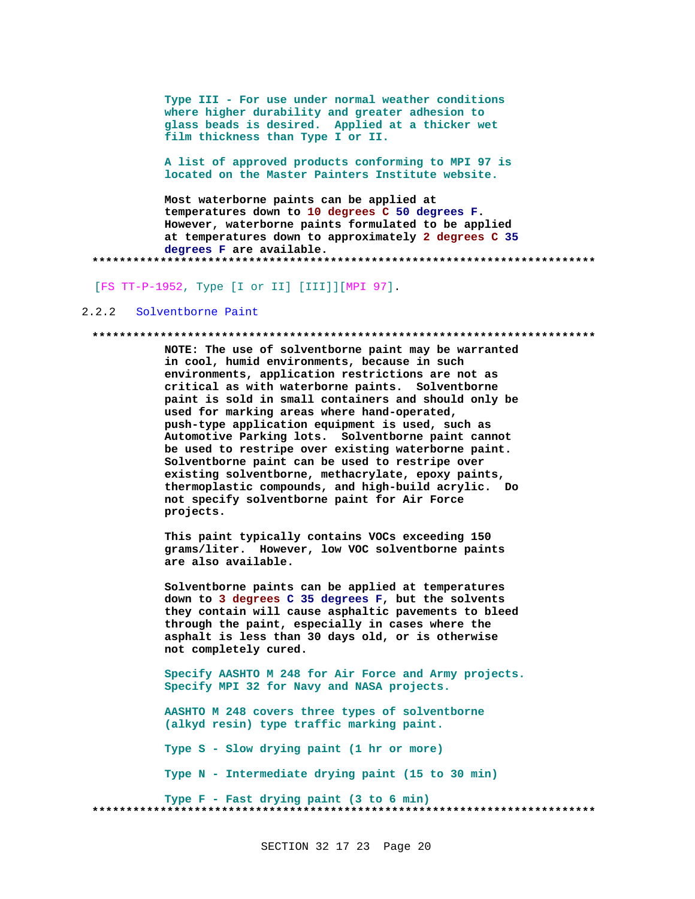Type III - For use under normal weather conditions where higher durability and greater adhesion to glass beads is desired. Applied at a thicker wet film thickness than Type I or II.

A list of approved products conforming to MPI 97 is located on the Master Painters Institute website.

Most waterborne paints can be applied at temperatures down to 10 degrees C 50 degrees F. However, waterborne paints formulated to be applied at temperatures down to approximately 2 degrees C 35 degrees F are available. 

[FS TT-P-1952, Type [I or II] [III]][MPI 97].

#### $2, 2, 2$ Solventborne Paint

#### 

NOTE: The use of solventborne paint may be warranted in cool, humid environments, because in such environments, application restrictions are not as critical as with waterborne paints. Solventborne paint is sold in small containers and should only be used for marking areas where hand-operated, push-type application equipment is used, such as Automotive Parking lots. Solventborne paint cannot be used to restripe over existing waterborne paint. Solventborne paint can be used to restripe over existing solventborne, methacrylate, epoxy paints, thermoplastic compounds, and high-build acrylic. Do not specify solventborne paint for Air Force projects.

This paint typically contains VOCs exceeding 150 grams/liter. However, low VOC solventborne paints are also available.

Solventborne paints can be applied at temperatures down to 3 degrees C 35 degrees F, but the solvents they contain will cause asphaltic pavements to bleed through the paint, especially in cases where the asphalt is less than 30 days old, or is otherwise not completely cured.

Specify AASHTO M 248 for Air Force and Army projects. Specify MPI 32 for Navy and NASA projects.

AASHTO M 248 covers three types of solventborne (alkyd resin) type traffic marking paint.

Type S - Slow drying paint (1 hr or more)

Type N - Intermediate drying paint (15 to 30 min)

Type F - Fast drying paint (3 to 6 min)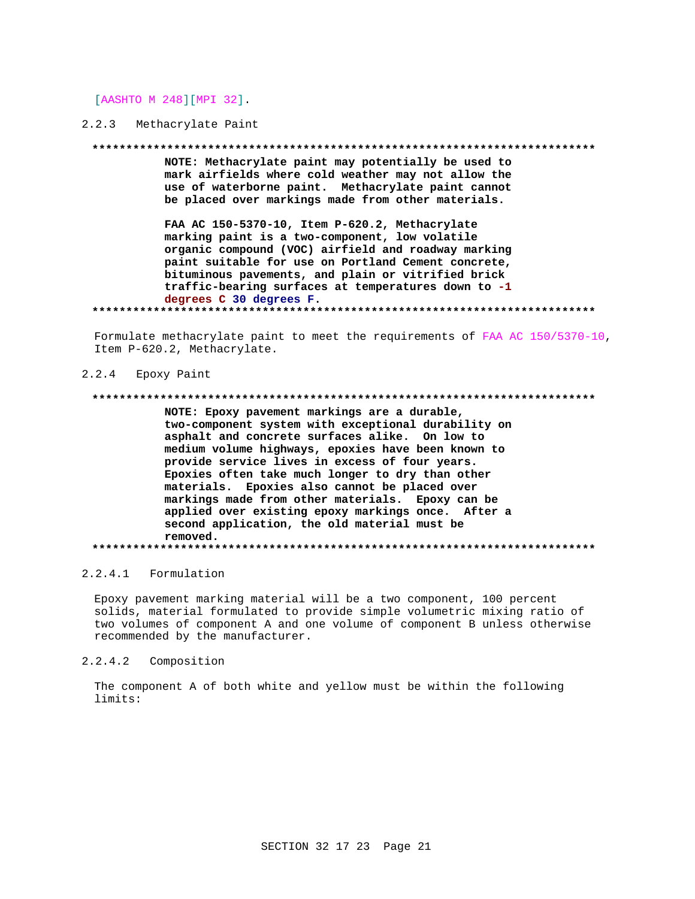[AASHTO M 248] [MPI 32].

# 2.2.3 Methacrylate Paint

#### 

NOTE: Methacrylate paint may potentially be used to mark airfields where cold weather may not allow the use of waterborne paint. Methacrylate paint cannot be placed over markings made from other materials.

FAA AC 150-5370-10, Item P-620.2, Methacrylate marking paint is a two-component, low volatile organic compound (VOC) airfield and roadway marking paint suitable for use on Portland Cement concrete, bituminous pavements, and plain or vitrified brick traffic-bearing surfaces at temperatures down to -1 degrees C 30 degrees F. 

Formulate methacrylate paint to meet the requirements of FAA AC 150/5370-10, Item P-620.2, Methacrylate.

#### Epoxy Paint  $2.2.4$

### 

NOTE: Epoxy pavement markings are a durable, two-component system with exceptional durability on asphalt and concrete surfaces alike. On low to medium volume highways, epoxies have been known to provide service lives in excess of four years. Epoxies often take much longer to dry than other materials. Epoxies also cannot be placed over markings made from other materials. Epoxy can be applied over existing epoxy markings once. After a second application, the old material must be removed. 

# 2.2.4.1 Formulation

Epoxy pavement marking material will be a two component, 100 percent solids, material formulated to provide simple volumetric mixing ratio of two volumes of component A and one volume of component B unless otherwise recommended by the manufacturer.

#### $2.2.4.2$ Composition

The component A of both white and yellow must be within the following limits: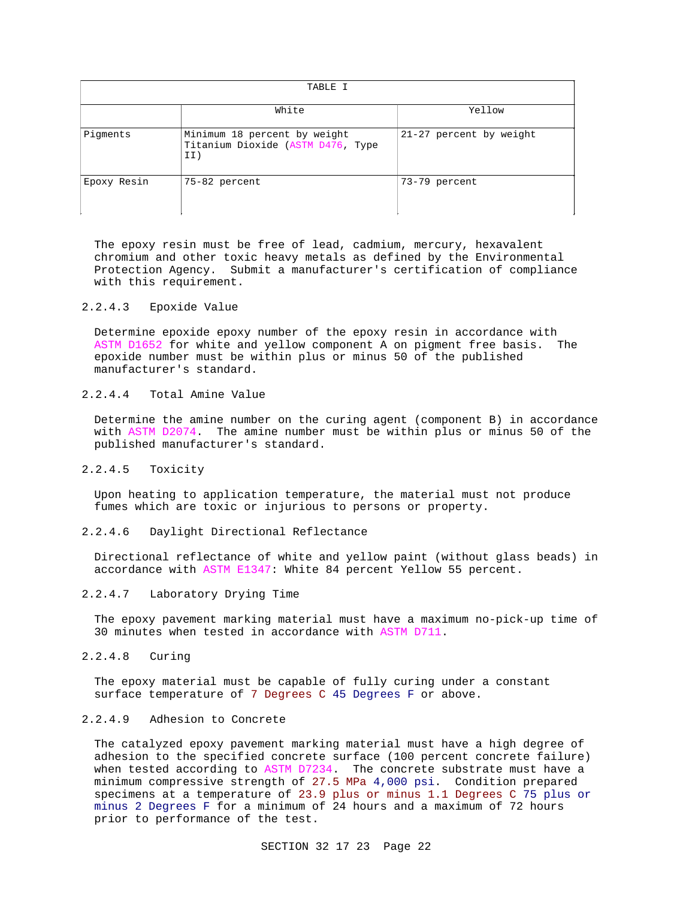| TABLE I     |                                                                          |                         |  |
|-------------|--------------------------------------------------------------------------|-------------------------|--|
|             | White                                                                    | Yellow                  |  |
| Pigments    | Minimum 18 percent by weight<br>Titanium Dioxide (ASTM D476, Type<br>II) | 21-27 percent by weight |  |
| Epoxy Resin | 75-82 percent                                                            | 73-79 percent           |  |

The epoxy resin must be free of lead, cadmium, mercury, hexavalent chromium and other toxic heavy metals as defined by the Environmental Protection Agency. Submit a manufacturer's certification of compliance with this requirement.

# 2.2.4.3 Epoxide Value

Determine epoxide epoxy number of the epoxy resin in accordance with ASTM D1652 for white and yellow component A on pigment free basis. The epoxide number must be within plus or minus 50 of the published manufacturer's standard.

# 2.2.4.4 Total Amine Value

Determine the amine number on the curing agent (component B) in accordance with ASTM D2074. The amine number must be within plus or minus 50 of the published manufacturer's standard.

#### 2.2.4.5 Toxicity

Upon heating to application temperature, the material must not produce fumes which are toxic or injurious to persons or property.

# 2.2.4.6 Daylight Directional Reflectance

Directional reflectance of white and yellow paint (without glass beads) in accordance with ASTM E1347: White 84 percent Yellow 55 percent.

# 2.2.4.7 Laboratory Drying Time

The epoxy pavement marking material must have a maximum no-pick-up time of 30 minutes when tested in accordance with ASTM D711.

# 2.2.4.8 Curing

The epoxy material must be capable of fully curing under a constant surface temperature of 7 Degrees C 45 Degrees F or above.

# 2.2.4.9 Adhesion to Concrete

The catalyzed epoxy pavement marking material must have a high degree of adhesion to the specified concrete surface (100 percent concrete failure) when tested according to ASTM D7234. The concrete substrate must have a minimum compressive strength of 27.5 MPa 4,000 psi. Condition prepared specimens at a temperature of 23.9 plus or minus 1.1 Degrees C 75 plus or minus 2 Degrees F for a minimum of 24 hours and a maximum of 72 hours prior to performance of the test.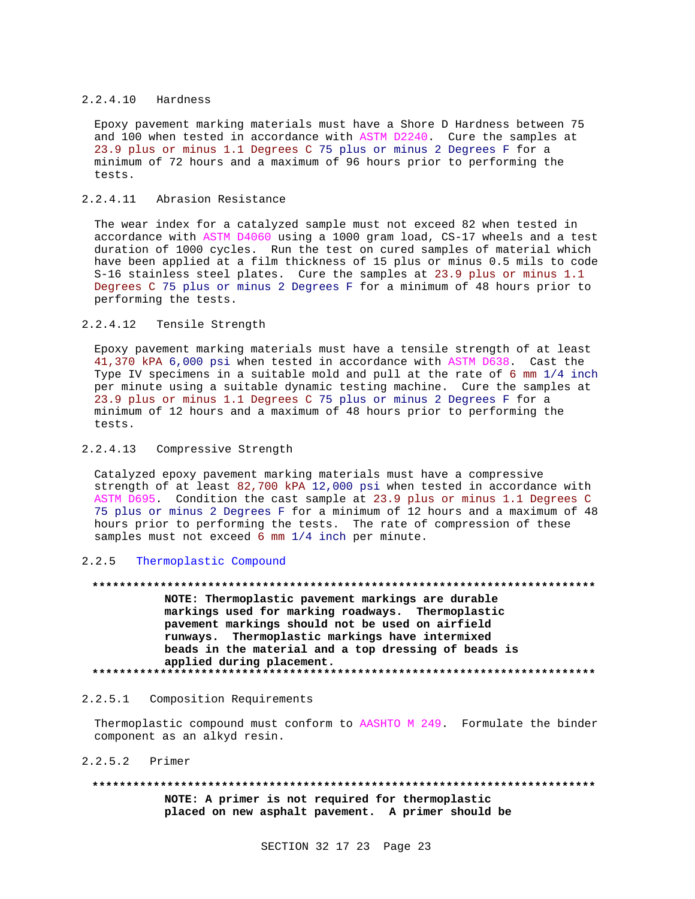## 2.2.4.10 Hardness

Epoxy pavement marking materials must have a Shore D Hardness between 75 and 100 when tested in accordance with ASTM D2240. Cure the samples at 23.9 plus or minus 1.1 Degrees C 75 plus or minus 2 Degrees F for a minimum of 72 hours and a maximum of 96 hours prior to performing the tests.

# 2.2.4.11 Abrasion Resistance

The wear index for a catalyzed sample must not exceed 82 when tested in accordance with ASTM D4060 using a 1000 gram load, CS-17 wheels and a test duration of 1000 cycles. Run the test on cured samples of material which have been applied at a film thickness of 15 plus or minus 0.5 mils to code S-16 stainless steel plates. Cure the samples at 23.9 plus or minus 1.1 Degrees C 75 plus or minus 2 Degrees F for a minimum of 48 hours prior to performing the tests.

# 2.2.4.12 Tensile Strength

Epoxy pavement marking materials must have a tensile strength of at least 41,370 kPA 6,000 psi when tested in accordance with ASTM D638. Cast the Type IV specimens in a suitable mold and pull at the rate of 6 mm 1/4 inch per minute using a suitable dynamic testing machine. Cure the samples at 23.9 plus or minus 1.1 Degrees C 75 plus or minus 2 Degrees F for a minimum of 12 hours and a maximum of 48 hours prior to performing the tests.

## 2.2.4.13 Compressive Strength

Catalyzed epoxy pavement marking materials must have a compressive strength of at least 82,700 kPA 12,000 psi when tested in accordance with ASTM D695. Condition the cast sample at 23.9 plus or minus 1.1 Degrees C 75 plus or minus 2 Degrees F for a minimum of 12 hours and a maximum of 48 hours prior to performing the tests. The rate of compression of these samples must not exceed 6 mm 1/4 inch per minute.

# 2.2.5 Thermoplastic Compound

**\*\*\*\*\*\*\*\*\*\*\*\*\*\*\*\*\*\*\*\*\*\*\*\*\*\*\*\*\*\*\*\*\*\*\*\*\*\*\*\*\*\*\*\*\*\*\*\*\*\*\*\*\*\*\*\*\*\*\*\*\*\*\*\*\*\*\*\*\*\*\*\*\*\* NOTE: Thermoplastic pavement markings are durable markings used for marking roadways. Thermoplastic pavement markings should not be used on airfield runways. Thermoplastic markings have intermixed beads in the material and a top dressing of beads is applied during placement. \*\*\*\*\*\*\*\*\*\*\*\*\*\*\*\*\*\*\*\*\*\*\*\*\*\*\*\*\*\*\*\*\*\*\*\*\*\*\*\*\*\*\*\*\*\*\*\*\*\*\*\*\*\*\*\*\*\*\*\*\*\*\*\*\*\*\*\*\*\*\*\*\*\***

# 2.2.5.1 Composition Requirements

Thermoplastic compound must conform to AASHTO M 249. Formulate the binder component as an alkyd resin.

## 2.2.5.2 Primer

**\*\*\*\*\*\*\*\*\*\*\*\*\*\*\*\*\*\*\*\*\*\*\*\*\*\*\*\*\*\*\*\*\*\*\*\*\*\*\*\*\*\*\*\*\*\*\*\*\*\*\*\*\*\*\*\*\*\*\*\*\*\*\*\*\*\*\*\*\*\*\*\*\*\***

**NOTE: A primer is not required for thermoplastic placed on new asphalt pavement. A primer should be**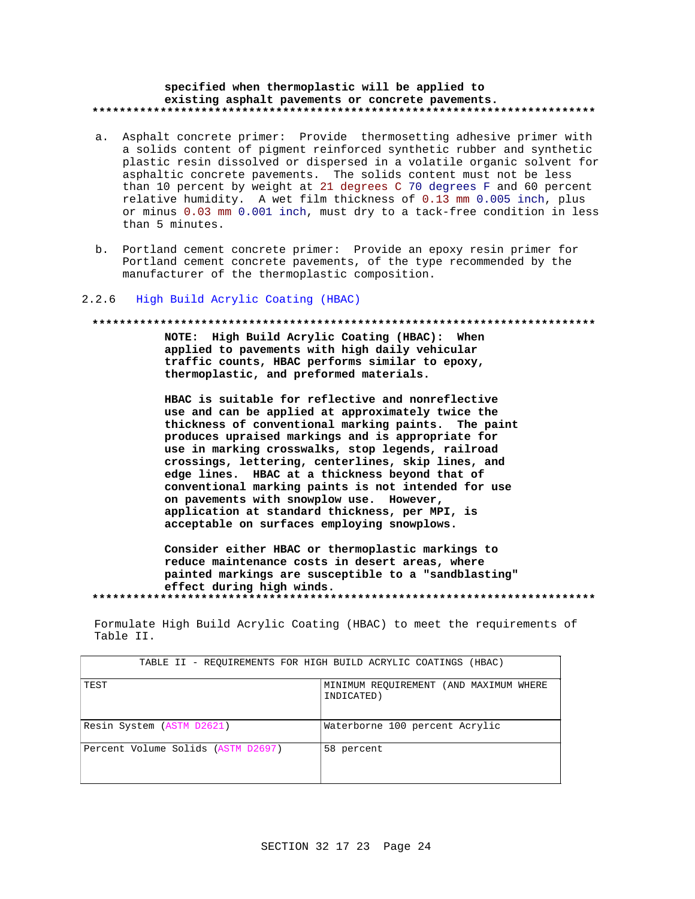## specified when thermoplastic will be applied to existing asphalt pavements or concrete pavements.

- a. Asphalt concrete primer: Provide thermosetting adhesive primer with a solids content of pigment reinforced synthetic rubber and synthetic plastic resin dissolved or dispersed in a volatile organic solvent for asphaltic concrete pavements. The solids content must not be less than 10 percent by weight at 21 degrees C 70 degrees F and 60 percent relative humidity. A wet film thickness of 0.13 mm 0.005 inch, plus or minus 0.03 mm 0.001 inch, must dry to a tack-free condition in less than 5 minutes.
- b. Portland cement concrete primer: Provide an epoxy resin primer for Portland cement concrete pavements, of the type recommended by the manufacturer of the thermoplastic composition.

#### $2.2.6$ High Build Acrylic Coating (HBAC)

#### 

NOTE: High Build Acrylic Coating (HBAC): When applied to pavements with high daily vehicular traffic counts, HBAC performs similar to epoxy, thermoplastic, and preformed materials.

HBAC is suitable for reflective and nonreflective use and can be applied at approximately twice the thickness of conventional marking paints. The paint produces upraised markings and is appropriate for use in marking crosswalks, stop legends, railroad crossings, lettering, centerlines, skip lines, and edge lines. HBAC at a thickness beyond that of conventional marking paints is not intended for use on pavements with snowplow use. However, application at standard thickness, per MPI, is acceptable on surfaces employing snowplows.

Consider either HBAC or thermoplastic markings to reduce maintenance costs in desert areas, where painted markings are susceptible to a "sandblasting" effect during high winds. 

Formulate High Build Acrylic Coating (HBAC) to meet the requirements of Table II.

| TABLE II - REOUIREMENTS FOR HIGH BUILD ACRYLIC COATINGS (HBAC) |                                                      |  |  |
|----------------------------------------------------------------|------------------------------------------------------|--|--|
| TEST                                                           | MINIMUM REQUIREMENT (AND MAXIMUM WHERE<br>INDICATED) |  |  |
| Resin System (ASTM D2621)                                      | Waterborne 100 percent Acrylic                       |  |  |
| Percent Volume Solids (ASTM D2697)                             | 58 percent                                           |  |  |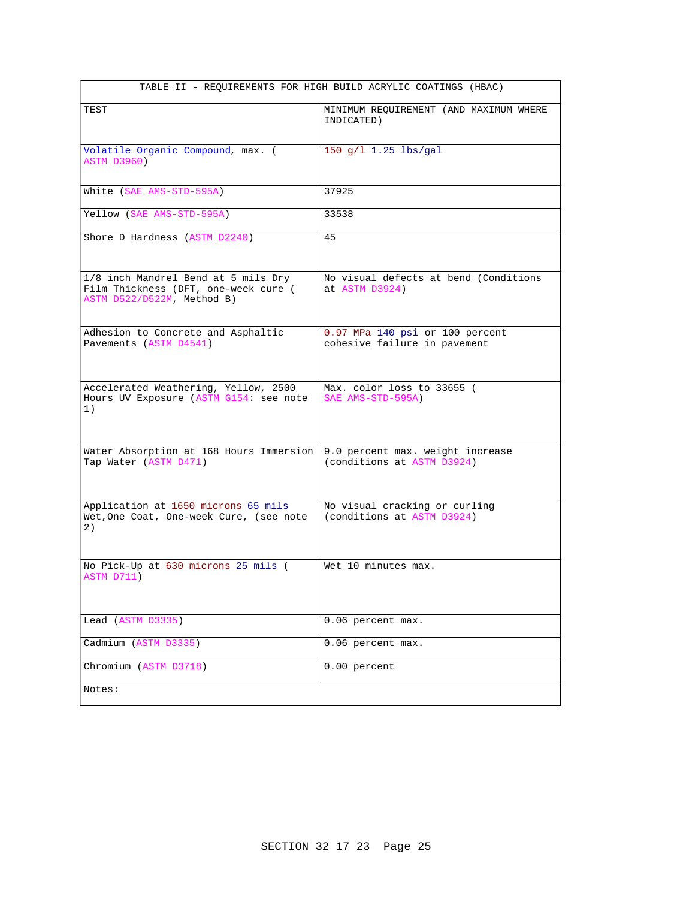| TABLE II - REQUIREMENTS FOR HIGH BUILD ACRYLIC COATINGS (HBAC)                                            |                                                                 |  |  |
|-----------------------------------------------------------------------------------------------------------|-----------------------------------------------------------------|--|--|
| TEST                                                                                                      | MINIMUM REQUIREMENT (AND MAXIMUM WHERE<br>INDICATED)            |  |  |
| Volatile Organic Compound, max. (<br><b>ASTM D3960)</b>                                                   | 150 $q/l$ 1.25 lbs/gal                                          |  |  |
| White (SAE AMS-STD-595A)                                                                                  | 37925                                                           |  |  |
| Yellow (SAE AMS-STD-595A)                                                                                 | 33538                                                           |  |  |
| Shore D Hardness (ASTM D2240)                                                                             | 45                                                              |  |  |
| 1/8 inch Mandrel Bend at 5 mils Dry<br>Film Thickness (DFT, one-week cure (<br>ASTM D522/D522M, Method B) | No visual defects at bend (Conditions<br>at ASTM D3924)         |  |  |
| Adhesion to Concrete and Asphaltic<br>Pavements (ASTM D4541)                                              | 0.97 MPa 140 psi or 100 percent<br>cohesive failure in pavement |  |  |
| Accelerated Weathering, Yellow, 2500<br>Hours UV Exposure (ASTM G154: see note<br>1)                      | Max. color loss to 33655 (<br>SAE AMS-STD-595A)                 |  |  |
| Water Absorption at 168 Hours Immersion<br>Tap Water (ASTM D471)                                          | 9.0 percent max. weight increase<br>(conditions at ASTM D3924)  |  |  |
| Application at 1650 microns 65 mils<br>Wet, One Coat, One-week Cure, (see note<br>2)                      | No visual cracking or curling<br>(conditions at ASTM D3924)     |  |  |
| No Pick-Up at 630 microns 25 mils (<br>ASTM D711)                                                         | Wet 10 minutes max.                                             |  |  |
| Lead (ASTM D3335)                                                                                         | 0.06 percent max.                                               |  |  |
| Cadmium (ASTM D3335)                                                                                      | 0.06 percent max.                                               |  |  |
| Chromium (ASTM D3718)                                                                                     | 0.00 percent                                                    |  |  |
| Notes:                                                                                                    |                                                                 |  |  |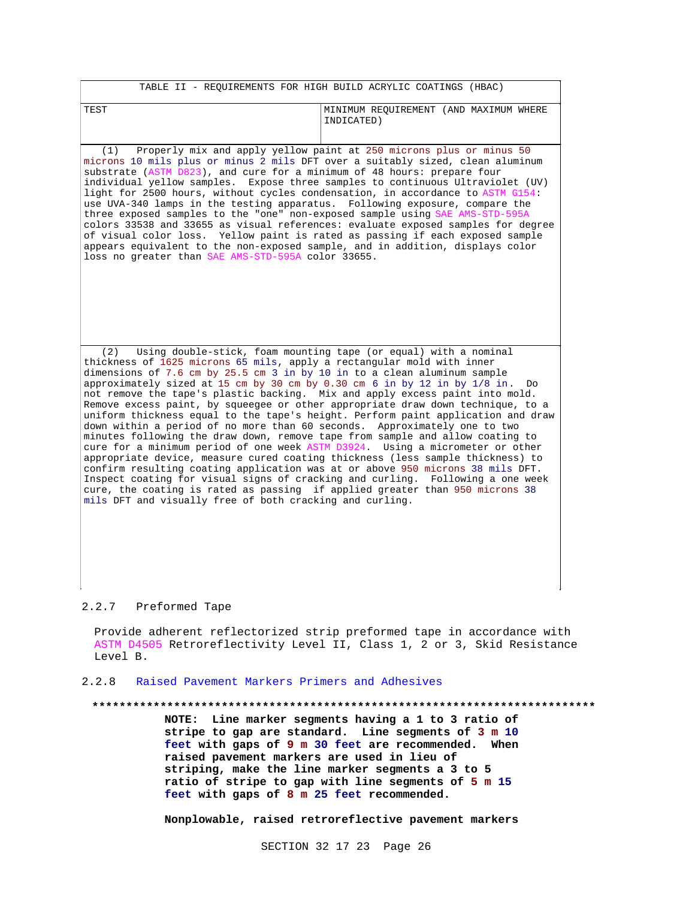| TABLE II - REQUIREMENTS FOR HIGH BUILD ACRYLIC COATINGS (HBAC)                                                                                                                                                                                                                                                                                                                                                                                                                                                                                                                                                                                                                                                                                                                                                                                                                                                                                                                                                                                             |                                                                                                                                                            |  |  |
|------------------------------------------------------------------------------------------------------------------------------------------------------------------------------------------------------------------------------------------------------------------------------------------------------------------------------------------------------------------------------------------------------------------------------------------------------------------------------------------------------------------------------------------------------------------------------------------------------------------------------------------------------------------------------------------------------------------------------------------------------------------------------------------------------------------------------------------------------------------------------------------------------------------------------------------------------------------------------------------------------------------------------------------------------------|------------------------------------------------------------------------------------------------------------------------------------------------------------|--|--|
| TEST                                                                                                                                                                                                                                                                                                                                                                                                                                                                                                                                                                                                                                                                                                                                                                                                                                                                                                                                                                                                                                                       | MINIMUM REQUIREMENT (AND MAXIMUM WHERE<br>INDICATED)                                                                                                       |  |  |
|                                                                                                                                                                                                                                                                                                                                                                                                                                                                                                                                                                                                                                                                                                                                                                                                                                                                                                                                                                                                                                                            |                                                                                                                                                            |  |  |
| (1) Properly mix and apply yellow paint at 250 microns plus or minus 50<br>microns 10 mils plus or minus 2 mils DFT over a suitably sized, clean aluminum<br>substrate (ASTM D823), and cure for a minimum of 48 hours: prepare four<br>individual yellow samples. Expose three samples to continuous Ultraviolet (UV)<br>light for 2500 hours, without cycles condensation, in accordance to ASTM G154:<br>use UVA-340 lamps in the testing apparatus. Following exposure, compare the<br>three exposed samples to the "one" non-exposed sample using SAE AMS-STD-595A<br>of visual color loss. Yellow paint is rated as passing if each exposed sample<br>appears equivalent to the non-exposed sample, and in addition, displays color<br>loss no greater than SAE AMS-STD-595A color 33655.                                                                                                                                                                                                                                                            | colors 33538 and 33655 as visual references: evaluate exposed samples for degree                                                                           |  |  |
|                                                                                                                                                                                                                                                                                                                                                                                                                                                                                                                                                                                                                                                                                                                                                                                                                                                                                                                                                                                                                                                            |                                                                                                                                                            |  |  |
| (2)<br>thickness of 1625 microns 65 mils, apply a rectangular mold with inner<br>dimensions of 7.6 cm by 25.5 cm 3 in by 10 in to a clean aluminum sample<br>approximately sized at 15 cm by 30 cm by 0.30 cm 6 in by 12 in by 1/8 in.<br>not remove the tape's plastic backing. Mix and apply excess paint into mold.<br>Remove excess paint, by squeeqee or other appropriate draw down technique, to a<br>down within a period of no more than 60 seconds. Approximately one to two<br>minutes following the draw down, remove tape from sample and allow coating to<br>cure for a minimum period of one week ASTM D3924. Using a micrometer or other<br>appropriate device, measure cured coating thickness (less sample thickness) to<br>confirm resulting coating application was at or above 950 microns 38 mils DFT.<br>Inspect coating for visual signs of cracking and curling. Following a one week<br>cure, the coating is rated as passing if applied greater than 950 microns 38<br>mils DFT and visually free of both cracking and curling. | Using double-stick, foam mounting tape (or equal) with a nominal<br>Do<br>uniform thickness equal to the tape's height. Perform paint application and draw |  |  |
|                                                                                                                                                                                                                                                                                                                                                                                                                                                                                                                                                                                                                                                                                                                                                                                                                                                                                                                                                                                                                                                            |                                                                                                                                                            |  |  |

# 2.2.7 Preformed Tape

Provide adherent reflectorized strip preformed tape in accordance with ASTM D4505 Retroreflectivity Level II, Class 1, 2 or 3, Skid Resistance Level B.

# 2.2.8 Raised Pavement Markers Primers and Adhesives

**\*\*\*\*\*\*\*\*\*\*\*\*\*\*\*\*\*\*\*\*\*\*\*\*\*\*\*\*\*\*\*\*\*\*\*\*\*\*\*\*\*\*\*\*\*\*\*\*\*\*\*\*\*\*\*\*\*\*\*\*\*\*\*\*\*\*\*\*\*\*\*\*\*\* NOTE: Line marker segments having a 1 to 3 ratio of stripe to gap are standard. Line segments of 3 m 10 feet with gaps of 9 m 30 feet are recommended. When raised pavement markers are used in lieu of striping, make the line marker segments a 3 to 5 ratio of stripe to gap with line segments of 5 m 15 feet with gaps of 8 m 25 feet recommended.**

**Nonplowable, raised retroreflective pavement markers**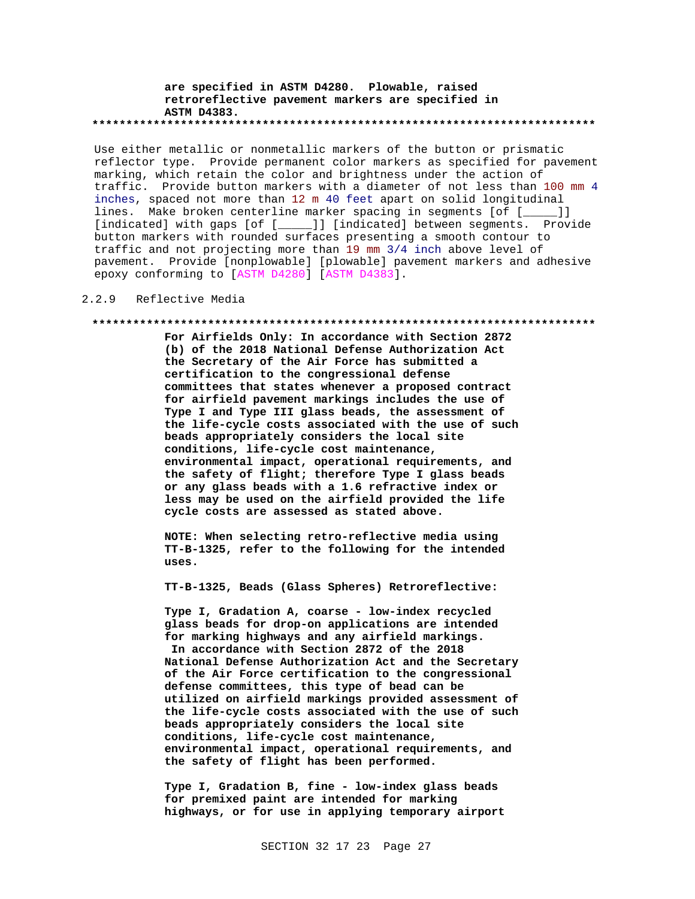### **are specified in ASTM D4280. Plowable, raised retroreflective pavement markers are specified in ASTM D4383. \*\*\*\*\*\*\*\*\*\*\*\*\*\*\*\*\*\*\*\*\*\*\*\*\*\*\*\*\*\*\*\*\*\*\*\*\*\*\*\*\*\*\*\*\*\*\*\*\*\*\*\*\*\*\*\*\*\*\*\*\*\*\*\*\*\*\*\*\*\*\*\*\*\***

Use either metallic or nonmetallic markers of the button or prismatic reflector type. Provide permanent color markers as specified for pavement marking, which retain the color and brightness under the action of traffic. Provide button markers with a diameter of not less than 100 mm 4 inches, spaced not more than 12 m 40 feet apart on solid longitudinal lines. Make broken centerline marker spacing in segments [of [\_\_\_\_ [indicated] with gaps [of [\_\_\_\_\_]] [indicated] between segments. Provide button markers with rounded surfaces presenting a smooth contour to traffic and not projecting more than 19 mm 3/4 inch above level of pavement. Provide [nonplowable] [plowable] pavement markers and adhesive epoxy conforming to [ASTM D4280] [ASTM D4383].

## 2.2.9 Reflective Media

#### **\*\*\*\*\*\*\*\*\*\*\*\*\*\*\*\*\*\*\*\*\*\*\*\*\*\*\*\*\*\*\*\*\*\*\*\*\*\*\*\*\*\*\*\*\*\*\*\*\*\*\*\*\*\*\*\*\*\*\*\*\*\*\*\*\*\*\*\*\*\*\*\*\*\***

**For Airfields Only: In accordance with Section 2872 (b) of the 2018 National Defense Authorization Act the Secretary of the Air Force has submitted a certification to the congressional defense committees that states whenever a proposed contract for airfield pavement markings includes the use of Type I and Type III glass beads, the assessment of the life-cycle costs associated with the use of such beads appropriately considers the local site conditions, life-cycle cost maintenance, environmental impact, operational requirements, and the safety of flight; therefore Type I glass beads or any glass beads with a 1.6 refractive index or less may be used on the airfield provided the life cycle costs are assessed as stated above.**

**NOTE: When selecting retro-reflective media using TT-B-1325, refer to the following for the intended uses.**

**TT-B-1325, Beads (Glass Spheres) Retroreflective:**

**Type I, Gradation A, coarse - low-index recycled glass beads for drop-on applications are intended for marking highways and any airfield markings. In accordance with Section 2872 of the 2018 National Defense Authorization Act and the Secretary of the Air Force certification to the congressional defense committees, this type of bead can be utilized on airfield markings provided assessment of the life-cycle costs associated with the use of such beads appropriately considers the local site conditions, life-cycle cost maintenance, environmental impact, operational requirements, and the safety of flight has been performed.**

**Type I, Gradation B, fine - low-index glass beads for premixed paint are intended for marking highways, or for use in applying temporary airport**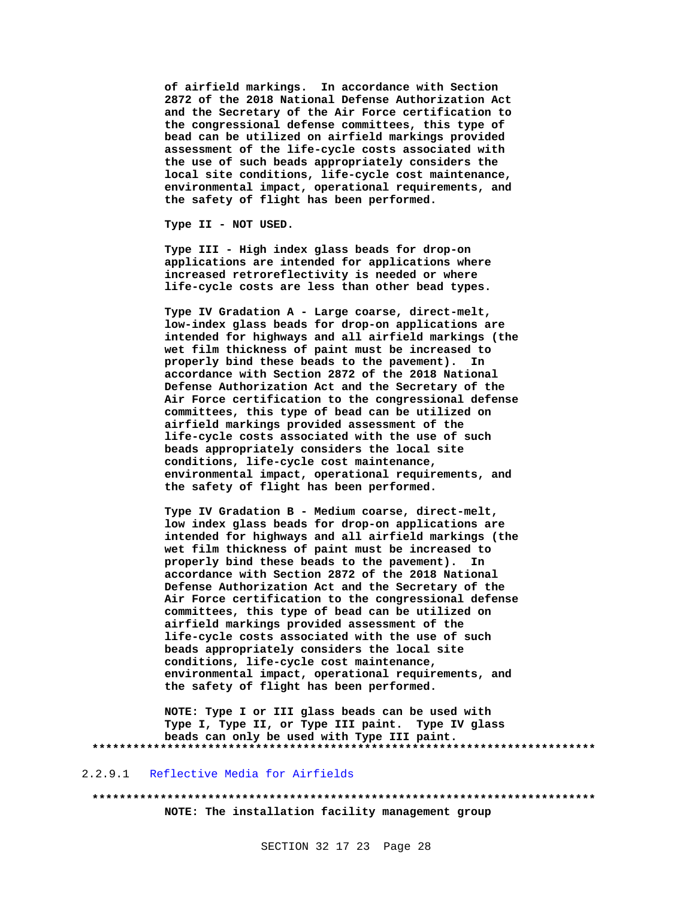**of airfield markings. In accordance with Section 2872 of the 2018 National Defense Authorization Act and the Secretary of the Air Force certification to the congressional defense committees, this type of bead can be utilized on airfield markings provided assessment of the life-cycle costs associated with the use of such beads appropriately considers the local site conditions, life-cycle cost maintenance, environmental impact, operational requirements, and the safety of flight has been performed.**

**Type II - NOT USED.**

**Type III - High index glass beads for drop-on applications are intended for applications where increased retroreflectivity is needed or where life-cycle costs are less than other bead types.**

**Type IV Gradation A - Large coarse, direct-melt, low-index glass beads for drop-on applications are intended for highways and all airfield markings (the wet film thickness of paint must be increased to properly bind these beads to the pavement). In accordance with Section 2872 of the 2018 National Defense Authorization Act and the Secretary of the Air Force certification to the congressional defense committees, this type of bead can be utilized on airfield markings provided assessment of the life-cycle costs associated with the use of such beads appropriately considers the local site conditions, life-cycle cost maintenance, environmental impact, operational requirements, and the safety of flight has been performed.**

**Type IV Gradation B - Medium coarse, direct-melt, low index glass beads for drop-on applications are intended for highways and all airfield markings (the wet film thickness of paint must be increased to properly bind these beads to the pavement). In accordance with Section 2872 of the 2018 National Defense Authorization Act and the Secretary of the Air Force certification to the congressional defense committees, this type of bead can be utilized on airfield markings provided assessment of the life-cycle costs associated with the use of such beads appropriately considers the local site conditions, life-cycle cost maintenance, environmental impact, operational requirements, and the safety of flight has been performed.**

**NOTE: Type I or III glass beads can be used with Type I, Type II, or Type III paint. Type IV glass beads can only be used with Type III paint. \*\*\*\*\*\*\*\*\*\*\*\*\*\*\*\*\*\*\*\*\*\*\*\*\*\*\*\*\*\*\*\*\*\*\*\*\*\*\*\*\*\*\*\*\*\*\*\*\*\*\*\*\*\*\*\*\*\*\*\*\*\*\*\*\*\*\*\*\*\*\*\*\*\***

### 2.2.9.1 Reflective Media for Airfields

**\*\*\*\*\*\*\*\*\*\*\*\*\*\*\*\*\*\*\*\*\*\*\*\*\*\*\*\*\*\*\*\*\*\*\*\*\*\*\*\*\*\*\*\*\*\*\*\*\*\*\*\*\*\*\*\*\*\*\*\*\*\*\*\*\*\*\*\*\*\*\*\*\*\* NOTE: The installation facility management group**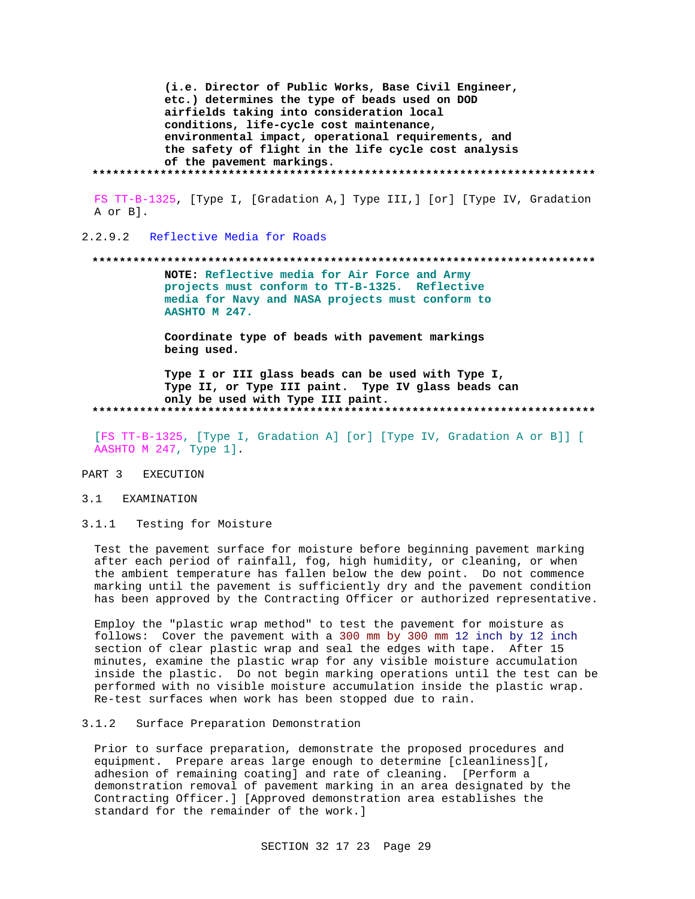(i.e. Director of Public Works, Base Civil Engineer, etc.) determines the type of beads used on DOD airfields taking into consideration local conditions, life-cycle cost maintenance, environmental impact, operational requirements, and the safety of flight in the life cycle cost analysis of the pavement markings. 

FS TT-B-1325, [Type I, [Gradation A, ] Type III, ] [or] [Type IV, Gradation A or B].

2.2.9.2 Reflective Media for Roads

NOTE: Reflective media for Air Force and Army projects must conform to TT-B-1325. Reflective media for Navy and NASA projects must conform to AASHTO M 247.

Coordinate type of beads with pavement markings being used.

Type I or III glass beads can be used with Type I, Type II, or Type III paint. Type IV glass beads can only be used with Type III paint. 

[FS TT-B-1325, [Type I, Gradation A] [or] [Type IV, Gradation A or B]] [ AASHTO M 247, Type 1].

#### PART 3 EXECUTION

#### 3.1 EXAMINATION

 $3.1.1$ Testing for Moisture

Test the pavement surface for moisture before beginning pavement marking after each period of rainfall, fog, high humidity, or cleaning, or when the ambient temperature has fallen below the dew point. Do not commence marking until the pavement is sufficiently dry and the pavement condition has been approved by the Contracting Officer or authorized representative.

Employ the "plastic wrap method" to test the pavement for moisture as follows: Cover the pavement with a 300 mm by 300 mm 12 inch by 12 inch section of clear plastic wrap and seal the edges with tape. After 15 minutes, examine the plastic wrap for any visible moisture accumulation inside the plastic. Do not begin marking operations until the test can be performed with no visible moisture accumulation inside the plastic wrap. Re-test surfaces when work has been stopped due to rain.

#### $3.1.2$ Surface Preparation Demonstration

Prior to surface preparation, demonstrate the proposed procedures and equipment. Prepare areas large enough to determine [cleanliness][, adhesion of remaining coating] and rate of cleaning. [Perform a demonstration removal of pavement marking in an area designated by the Contracting Officer.] [Approved demonstration area establishes the standard for the remainder of the work.]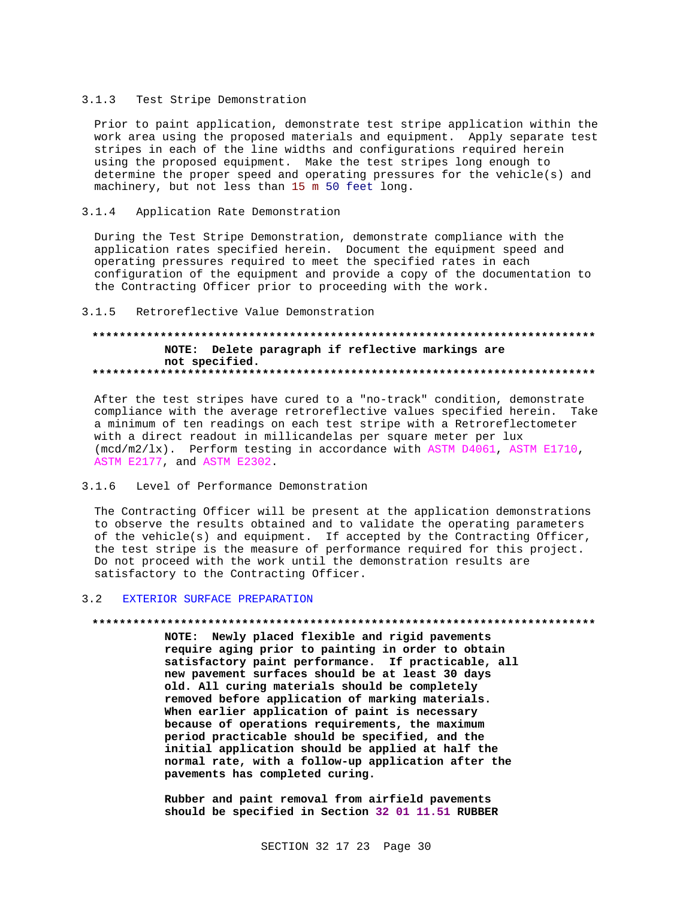## 3.1.3 Test Stripe Demonstration

Prior to paint application, demonstrate test stripe application within the work area using the proposed materials and equipment. Apply separate test stripes in each of the line widths and configurations required herein using the proposed equipment. Make the test stripes long enough to determine the proper speed and operating pressures for the vehicle(s) and machinery, but not less than 15 m 50 feet long.

# 3.1.4 Application Rate Demonstration

During the Test Stripe Demonstration, demonstrate compliance with the application rates specified herein. Document the equipment speed and operating pressures required to meet the specified rates in each configuration of the equipment and provide a copy of the documentation to the Contracting Officer prior to proceeding with the work.

# 3.1.5 Retroreflective Value Demonstration

# **\*\*\*\*\*\*\*\*\*\*\*\*\*\*\*\*\*\*\*\*\*\*\*\*\*\*\*\*\*\*\*\*\*\*\*\*\*\*\*\*\*\*\*\*\*\*\*\*\*\*\*\*\*\*\*\*\*\*\*\*\*\*\*\*\*\*\*\*\*\*\*\*\*\* NOTE: Delete paragraph if reflective markings are not specified. \*\*\*\*\*\*\*\*\*\*\*\*\*\*\*\*\*\*\*\*\*\*\*\*\*\*\*\*\*\*\*\*\*\*\*\*\*\*\*\*\*\*\*\*\*\*\*\*\*\*\*\*\*\*\*\*\*\*\*\*\*\*\*\*\*\*\*\*\*\*\*\*\*\***

After the test stripes have cured to a "no-track" condition, demonstrate compliance with the average retroreflective values specified herein. Take a minimum of ten readings on each test stripe with a Retroreflectometer with a direct readout in millicandelas per square meter per lux (mcd/m2/lx). Perform testing in accordance with ASTM D4061, ASTM E1710, ASTM E2177, and ASTM E2302.

# 3.1.6 Level of Performance Demonstration

The Contracting Officer will be present at the application demonstrations to observe the results obtained and to validate the operating parameters of the vehicle(s) and equipment. If accepted by the Contracting Officer, the test stripe is the measure of performance required for this project. Do not proceed with the work until the demonstration results are satisfactory to the Contracting Officer.

# 3.2 EXTERIOR SURFACE PREPARATION

#### **\*\*\*\*\*\*\*\*\*\*\*\*\*\*\*\*\*\*\*\*\*\*\*\*\*\*\*\*\*\*\*\*\*\*\*\*\*\*\*\*\*\*\*\*\*\*\*\*\*\*\*\*\*\*\*\*\*\*\*\*\*\*\*\*\*\*\*\*\*\*\*\*\*\***

**NOTE: Newly placed flexible and rigid pavements require aging prior to painting in order to obtain satisfactory paint performance. If practicable, all new pavement surfaces should be at least 30 days old. All curing materials should be completely removed before application of marking materials. When earlier application of paint is necessary because of operations requirements, the maximum period practicable should be specified, and the initial application should be applied at half the normal rate, with a follow-up application after the pavements has completed curing.**

**Rubber and paint removal from airfield pavements should be specified in Section 32 01 11.51 RUBBER**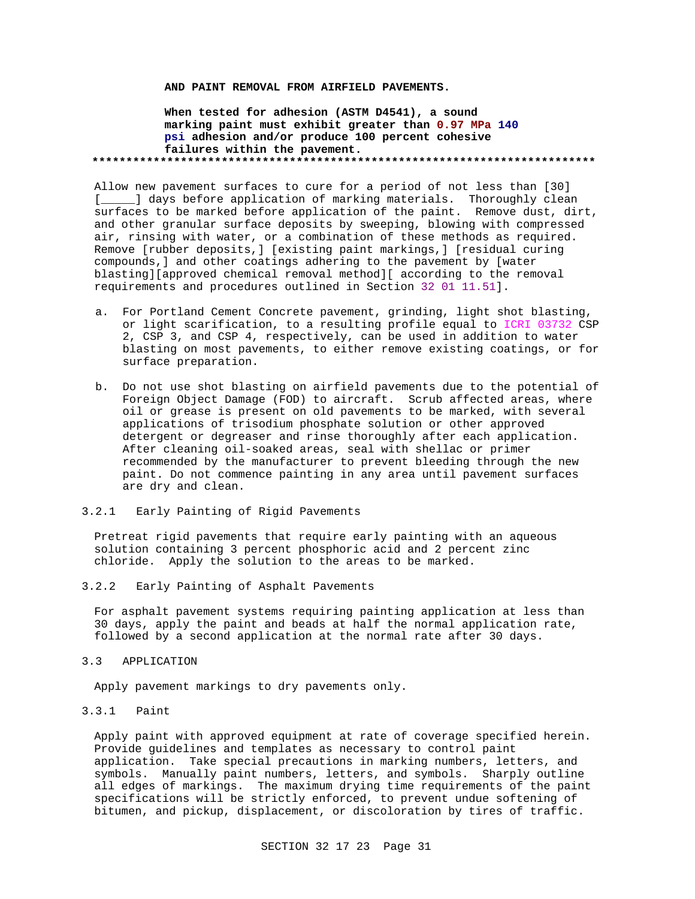## **AND PAINT REMOVAL FROM AIRFIELD PAVEMENTS.**

# **When tested for adhesion (ASTM D4541), a sound marking paint must exhibit greater than 0.97 MPa 140 psi adhesion and/or produce 100 percent cohesive failures within the pavement. \*\*\*\*\*\*\*\*\*\*\*\*\*\*\*\*\*\*\*\*\*\*\*\*\*\*\*\*\*\*\*\*\*\*\*\*\*\*\*\*\*\*\*\*\*\*\*\*\*\*\*\*\*\*\*\*\*\*\*\*\*\*\*\*\*\*\*\*\*\*\*\*\*\***

Allow new pavement surfaces to cure for a period of not less than [30] [\_\_\_\_\_] days before application of marking materials. Thoroughly clean surfaces to be marked before application of the paint. Remove dust, dirt, and other granular surface deposits by sweeping, blowing with compressed air, rinsing with water, or a combination of these methods as required. Remove [rubber deposits,] [existing paint markings,] [residual curing compounds,] and other coatings adhering to the pavement by [water blasting][approved chemical removal method][ according to the removal requirements and procedures outlined in Section 32 01 11.51].

- a. For Portland Cement Concrete pavement, grinding, light shot blasting, or light scarification, to a resulting profile equal to ICRI 03732 CSP 2, CSP 3, and CSP 4, respectively, can be used in addition to water blasting on most pavements, to either remove existing coatings, or for surface preparation.
- b. Do not use shot blasting on airfield pavements due to the potential of Foreign Object Damage (FOD) to aircraft. Scrub affected areas, where oil or grease is present on old pavements to be marked, with several applications of trisodium phosphate solution or other approved detergent or degreaser and rinse thoroughly after each application. After cleaning oil-soaked areas, seal with shellac or primer recommended by the manufacturer to prevent bleeding through the new paint. Do not commence painting in any area until pavement surfaces are dry and clean.
- 3.2.1 Early Painting of Rigid Pavements

Pretreat rigid pavements that require early painting with an aqueous solution containing 3 percent phosphoric acid and 2 percent zinc chloride. Apply the solution to the areas to be marked.

3.2.2 Early Painting of Asphalt Pavements

For asphalt pavement systems requiring painting application at less than 30 days, apply the paint and beads at half the normal application rate, followed by a second application at the normal rate after 30 days.

3.3 APPLICATION

Apply pavement markings to dry pavements only.

3.3.1 Paint

Apply paint with approved equipment at rate of coverage specified herein. Provide guidelines and templates as necessary to control paint application. Take special precautions in marking numbers, letters, and symbols. Manually paint numbers, letters, and symbols. Sharply outline all edges of markings. The maximum drying time requirements of the paint specifications will be strictly enforced, to prevent undue softening of bitumen, and pickup, displacement, or discoloration by tires of traffic.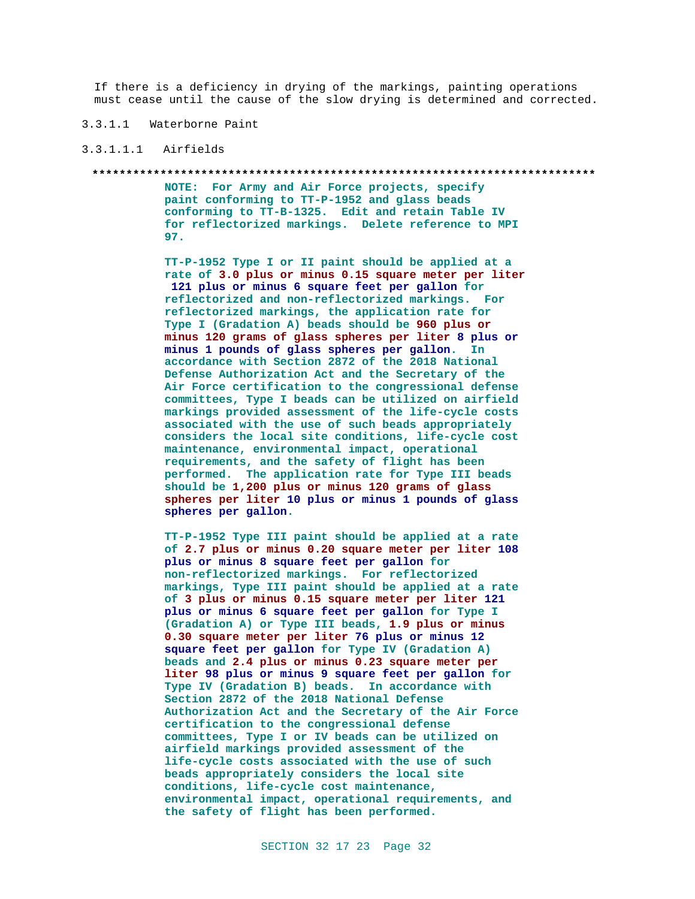If there is a deficiency in drying of the markings, painting operations must cease until the cause of the slow drying is determined and corrected.

# 3.3.1.1 Waterborne Paint

# 3.3.1.1.1 Airfields

#### **\*\*\*\*\*\*\*\*\*\*\*\*\*\*\*\*\*\*\*\*\*\*\*\*\*\*\*\*\*\*\*\*\*\*\*\*\*\*\*\*\*\*\*\*\*\*\*\*\*\*\*\*\*\*\*\*\*\*\*\*\*\*\*\*\*\*\*\*\*\*\*\*\*\***

**NOTE: For Army and Air Force projects, specify paint conforming to TT-P-1952 and glass beads conforming to TT-B-1325. Edit and retain Table IV for reflectorized markings. Delete reference to MPI 97.**

**TT-P-1952 Type I or II paint should be applied at a rate of 3.0 plus or minus 0.15 square meter per liter 121 plus or minus 6 square feet per gallon for reflectorized and non-reflectorized markings. For reflectorized markings, the application rate for Type I (Gradation A) beads should be 960 plus or minus 120 grams of glass spheres per liter 8 plus or minus 1 pounds of glass spheres per gallon. In accordance with Section 2872 of the 2018 National Defense Authorization Act and the Secretary of the Air Force certification to the congressional defense committees, Type I beads can be utilized on airfield markings provided assessment of the life-cycle costs associated with the use of such beads appropriately considers the local site conditions, life-cycle cost maintenance, environmental impact, operational requirements, and the safety of flight has been performed. The application rate for Type III beads should be 1,200 plus or minus 120 grams of glass spheres per liter 10 plus or minus 1 pounds of glass spheres per gallon.**

**TT-P-1952 Type III paint should be applied at a rate of 2.7 plus or minus 0.20 square meter per liter 108 plus or minus 8 square feet per gallon for non-reflectorized markings. For reflectorized markings, Type III paint should be applied at a rate of 3 plus or minus 0.15 square meter per liter 121 plus or minus 6 square feet per gallon for Type I (Gradation A) or Type III beads, 1.9 plus or minus 0.30 square meter per liter 76 plus or minus 12 square feet per gallon for Type IV (Gradation A) beads and 2.4 plus or minus 0.23 square meter per liter 98 plus or minus 9 square feet per gallon for Type IV (Gradation B) beads. In accordance with Section 2872 of the 2018 National Defense Authorization Act and the Secretary of the Air Force certification to the congressional defense committees, Type I or IV beads can be utilized on airfield markings provided assessment of the life-cycle costs associated with the use of such beads appropriately considers the local site conditions, life-cycle cost maintenance, environmental impact, operational requirements, and the safety of flight has been performed.**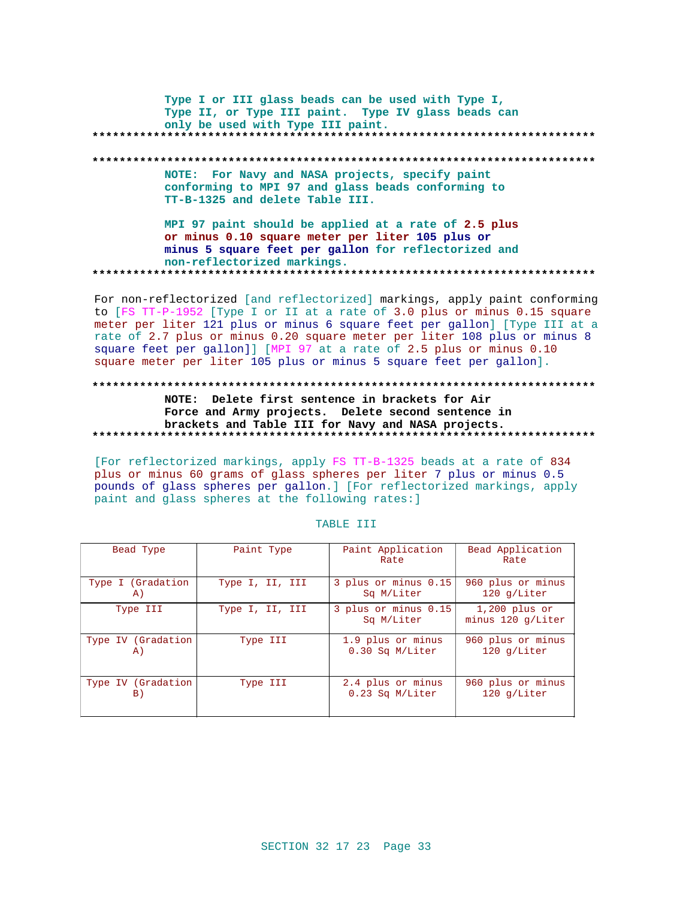Type I or III glass beads can be used with Type I, Type II, or Type III paint. Type IV glass beads can only be used with Type III paint. NOTE: For Navy and NASA projects, specify paint

conforming to MPI 97 and glass beads conforming to TT-B-1325 and delete Table III.

MPI 97 paint should be applied at a rate of 2.5 plus or minus 0.10 square meter per liter 105 plus or minus 5 square feet per gallon for reflectorized and non-reflectorized markings. 

For non-reflectorized [and reflectorized] markings, apply paint conforming to [FS TT-P-1952 [Type I or II at a rate of 3.0 plus or minus 0.15 square meter per liter 121 plus or minus 6 square feet per gallon] [Type III at a rate of 2.7 plus or minus 0.20 square meter per liter 108 plus or minus 8 square feet per gallon]] [MPI 97 at a rate of 2.5 plus or minus 0.10 square meter per liter 105 plus or minus 5 square feet per gallon].

# NOTE: Delete first sentence in brackets for Air Force and Army projects. Delete second sentence in brackets and Table III for Navy and NASA projects.

[For reflectorized markings, apply FS TT-B-1325 beads at a rate of 834 plus or minus 60 grams of glass spheres per liter 7 plus or minus 0.5 pounds of glass spheres per gallon. ] [For reflectorized markings, apply paint and glass spheres at the following rates: ]

| Bead Type          | Paint Type      | Paint Application<br>Rate          | Bead Application<br>Rate               |
|--------------------|-----------------|------------------------------------|----------------------------------------|
| Type I (Gradation  | Type I, II, III | 3 plus or minus 0.15               | 960 plus or minus                      |
| A)                 |                 | Sq M/Liter                         | $120$ q/Liter                          |
| Type III           | Type I, II, III | 3 plus or minus 0.15<br>Sq M/Liter | $1,200$ plus or<br>minus $120 q/Liter$ |
| Type IV (Gradation | Type III        | 1.9 plus or minus                  | 960 plus or minus                      |
| A)                 |                 | $0.30$ Sq M/Liter                  | $120$ q/Liter                          |
| Type IV (Gradation | Type III        | 2.4 plus or minus                  | 960 plus or minus                      |
| B)                 |                 | $0.23$ Sq M/Liter                  | $120$ q/Liter                          |

## TABLE III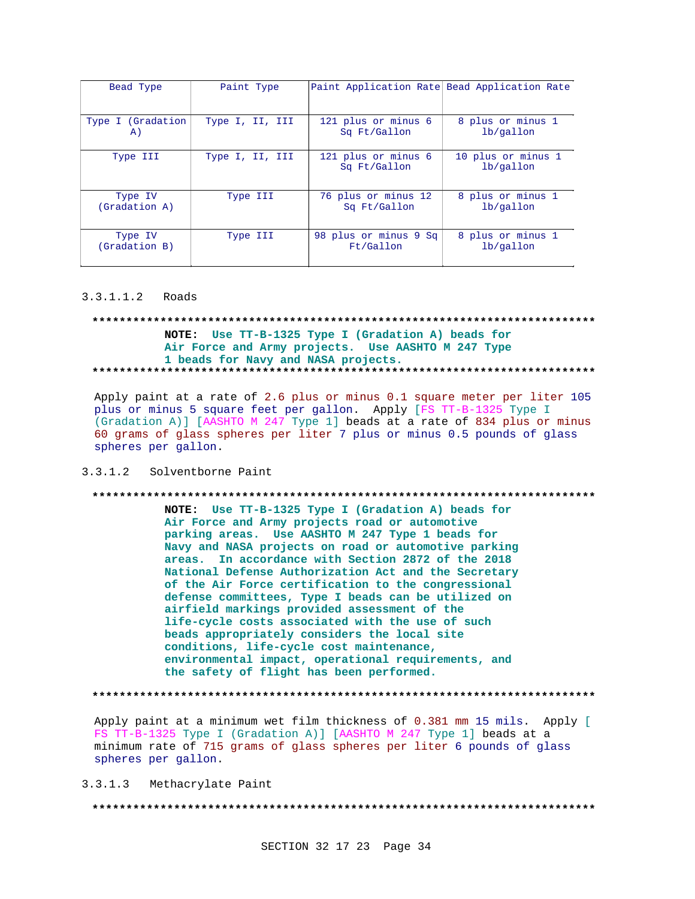| Bead Type         | Paint Type      | Paint Application Rate Bead Application Rate |                                 |
|-------------------|-----------------|----------------------------------------------|---------------------------------|
| Type I (Gradation | Type I, II, III | 121 plus or minus 6                          | 8 plus or minus 1               |
| A)                |                 | Sq Ft/Gallon                                 | lb/gallon                       |
| Type III          | Type I, II, III | 121 plus or minus 6<br>Sq Ft/Gallon          | 10 plus or minus 1<br>lb/gallon |
| Type IV           | Type III        | 76 plus or minus 12                          | 8 plus or minus 1               |
| (Gradation A)     |                 | Sq Ft/Gallon                                 | lb/gallon                       |
| Type IV           | Type III        | 98 plus or minus 9 Sq                        | 8 plus or minus 1               |
| (Gradation B)     |                 | Ft/Gallon                                    | lb/gallon                       |

### 3.3.1.1.2 Roads

# NOTE: Use TT-B-1325 Type I (Gradation A) beads for Air Force and Army projects. Use AASHTO M 247 Type 1 beads for Navy and NASA projects.

Apply paint at a rate of 2.6 plus or minus 0.1 square meter per liter 105 plus or minus 5 square feet per gallon. Apply [FS TT-B-1325 Type I (Gradation A)] [AASHTO M 247 Type 1] beads at a rate of 834 plus or minus 60 grams of glass spheres per liter 7 plus or minus 0.5 pounds of glass spheres per gallon.

# 3.3.1.2 Solventborne Paint

#### \*\*\*\*\*\*\*\*\*\*

NOTE: Use TT-B-1325 Type I (Gradation A) beads for Air Force and Army projects road or automotive parking areas. Use AASHTO M 247 Type 1 beads for Navy and NASA projects on road or automotive parking areas. In accordance with Section 2872 of the 2018 National Defense Authorization Act and the Secretary of the Air Force certification to the congressional defense committees, Type I beads can be utilized on airfield markings provided assessment of the life-cycle costs associated with the use of such beads appropriately considers the local site conditions, life-cycle cost maintenance, environmental impact, operational requirements, and the safety of flight has been performed.

Apply paint at a minimum wet film thickness of 0.381 mm 15 mils. Apply [ FS TT-B-1325 Type I (Gradation A)] [AASHTO M 247 Type 1] beads at a minimum rate of 715 grams of glass spheres per liter 6 pounds of glass spheres per gallon.

 $3.3.1.3$ Methacrylate Paint

####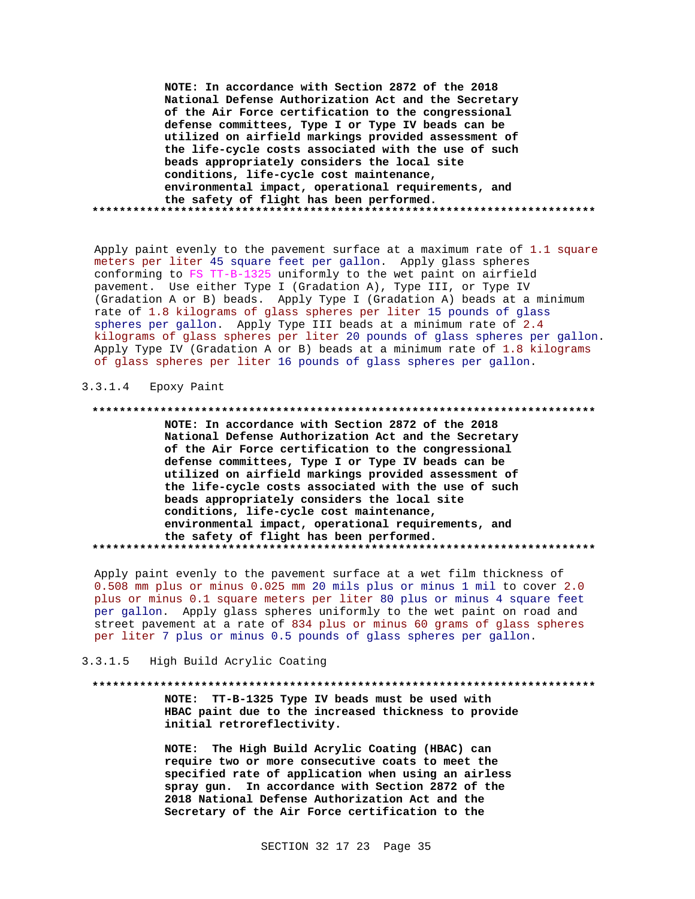**NOTE: In accordance with Section 2872 of the 2018 National Defense Authorization Act and the Secretary of the Air Force certification to the congressional defense committees, Type I or Type IV beads can be utilized on airfield markings provided assessment of the life-cycle costs associated with the use of such beads appropriately considers the local site conditions, life-cycle cost maintenance, environmental impact, operational requirements, and the safety of flight has been performed. \*\*\*\*\*\*\*\*\*\*\*\*\*\*\*\*\*\*\*\*\*\*\*\*\*\*\*\*\*\*\*\*\*\*\*\*\*\*\*\*\*\*\*\*\*\*\*\*\*\*\*\*\*\*\*\*\*\*\*\*\*\*\*\*\*\*\*\*\*\*\*\*\*\***

Apply paint evenly to the pavement surface at a maximum rate of 1.1 square meters per liter 45 square feet per gallon. Apply glass spheres conforming to FS TT-B-1325 uniformly to the wet paint on airfield pavement. Use either Type I (Gradation A), Type III, or Type IV (Gradation A or B) beads. Apply Type I (Gradation A) beads at a minimum rate of 1.8 kilograms of glass spheres per liter 15 pounds of glass spheres per gallon. Apply Type III beads at a minimum rate of 2.4 kilograms of glass spheres per liter 20 pounds of glass spheres per gallon. Apply Type IV (Gradation A or B) beads at a minimum rate of 1.8 kilograms of glass spheres per liter 16 pounds of glass spheres per gallon.

# 3.3.1.4 Epoxy Paint

#### **\*\*\*\*\*\*\*\*\*\*\*\*\*\*\*\*\*\*\*\*\*\*\*\*\*\*\*\*\*\*\*\*\*\*\*\*\*\*\*\*\*\*\*\*\*\*\*\*\*\*\*\*\*\*\*\*\*\*\*\*\*\*\*\*\*\*\*\*\*\*\*\*\*\***

**NOTE: In accordance with Section 2872 of the 2018 National Defense Authorization Act and the Secretary of the Air Force certification to the congressional defense committees, Type I or Type IV beads can be utilized on airfield markings provided assessment of the life-cycle costs associated with the use of such beads appropriately considers the local site conditions, life-cycle cost maintenance, environmental impact, operational requirements, and the safety of flight has been performed. \*\*\*\*\*\*\*\*\*\*\*\*\*\*\*\*\*\*\*\*\*\*\*\*\*\*\*\*\*\*\*\*\*\*\*\*\*\*\*\*\*\*\*\*\*\*\*\*\*\*\*\*\*\*\*\*\*\*\*\*\*\*\*\*\*\*\*\*\*\*\*\*\*\***

Apply paint evenly to the pavement surface at a wet film thickness of 0.508 mm plus or minus 0.025 mm 20 mils plus or minus 1 mil to cover 2.0 plus or minus 0.1 square meters per liter 80 plus or minus 4 square feet per gallon. Apply glass spheres uniformly to the wet paint on road and street pavement at a rate of 834 plus or minus 60 grams of glass spheres per liter 7 plus or minus 0.5 pounds of glass spheres per gallon.

### 3.3.1.5 High Build Acrylic Coating

#### **\*\*\*\*\*\*\*\*\*\*\*\*\*\*\*\*\*\*\*\*\*\*\*\*\*\*\*\*\*\*\*\*\*\*\*\*\*\*\*\*\*\*\*\*\*\*\*\*\*\*\*\*\*\*\*\*\*\*\*\*\*\*\*\*\*\*\*\*\*\*\*\*\*\***

**NOTE: TT-B-1325 Type IV beads must be used with HBAC paint due to the increased thickness to provide initial retroreflectivity.**

**NOTE: The High Build Acrylic Coating (HBAC) can require two or more consecutive coats to meet the specified rate of application when using an airless spray gun. In accordance with Section 2872 of the 2018 National Defense Authorization Act and the Secretary of the Air Force certification to the**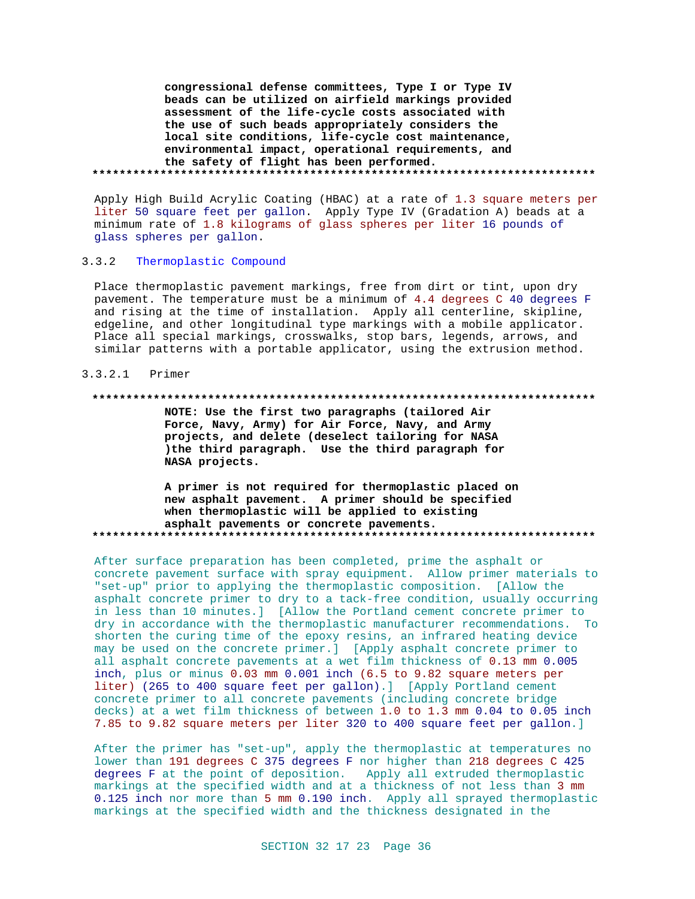**congressional defense committees, Type I or Type IV beads can be utilized on airfield markings provided assessment of the life-cycle costs associated with the use of such beads appropriately considers the local site conditions, life-cycle cost maintenance, environmental impact, operational requirements, and the safety of flight has been performed. \*\*\*\*\*\*\*\*\*\*\*\*\*\*\*\*\*\*\*\*\*\*\*\*\*\*\*\*\*\*\*\*\*\*\*\*\*\*\*\*\*\*\*\*\*\*\*\*\*\*\*\*\*\*\*\*\*\*\*\*\*\*\*\*\*\*\*\*\*\*\*\*\*\***

Apply High Build Acrylic Coating (HBAC) at a rate of 1.3 square meters per liter 50 square feet per gallon. Apply Type IV (Gradation A) beads at a minimum rate of 1.8 kilograms of glass spheres per liter 16 pounds of glass spheres per gallon.

## 3.3.2 Thermoplastic Compound

Place thermoplastic pavement markings, free from dirt or tint, upon dry pavement. The temperature must be a minimum of 4.4 degrees C 40 degrees F and rising at the time of installation. Apply all centerline, skipline, edgeline, and other longitudinal type markings with a mobile applicator. Place all special markings, crosswalks, stop bars, legends, arrows, and similar patterns with a portable applicator, using the extrusion method.

## 3.3.2.1 Primer

### **\*\*\*\*\*\*\*\*\*\*\*\*\*\*\*\*\*\*\*\*\*\*\*\*\*\*\*\*\*\*\*\*\*\*\*\*\*\*\*\*\*\*\*\*\*\*\*\*\*\*\*\*\*\*\*\*\*\*\*\*\*\*\*\*\*\*\*\*\*\*\*\*\*\***

**NOTE: Use the first two paragraphs (tailored Air Force, Navy, Army) for Air Force, Navy, and Army projects, and delete (deselect tailoring for NASA )the third paragraph. Use the third paragraph for NASA projects.**

**A primer is not required for thermoplastic placed on new asphalt pavement. A primer should be specified when thermoplastic will be applied to existing asphalt pavements or concrete pavements. \*\*\*\*\*\*\*\*\*\*\*\*\*\*\*\*\*\*\*\*\*\*\*\*\*\*\*\*\*\*\*\*\*\*\*\*\*\*\*\*\*\*\*\*\*\*\*\*\*\*\*\*\*\*\*\*\*\*\*\*\*\*\*\*\*\*\*\*\*\*\*\*\*\***

After surface preparation has been completed, prime the asphalt or concrete pavement surface with spray equipment. Allow primer materials to "set-up" prior to applying the thermoplastic composition. [Allow the asphalt concrete primer to dry to a tack-free condition, usually occurring in less than 10 minutes.] [Allow the Portland cement concrete primer to dry in accordance with the thermoplastic manufacturer recommendations. To shorten the curing time of the epoxy resins, an infrared heating device may be used on the concrete primer.] [Apply asphalt concrete primer to all asphalt concrete pavements at a wet film thickness of 0.13 mm 0.005 inch, plus or minus 0.03 mm 0.001 inch (6.5 to 9.82 square meters per liter) (265 to 400 square feet per gallon).] [Apply Portland cement concrete primer to all concrete pavements (including concrete bridge decks) at a wet film thickness of between 1.0 to 1.3 mm 0.04 to 0.05 inch 7.85 to 9.82 square meters per liter 320 to 400 square feet per gallon.]

After the primer has "set-up", apply the thermoplastic at temperatures no lower than 191 degrees C 375 degrees F nor higher than 218 degrees C 425 degrees F at the point of deposition. Apply all extruded thermoplastic markings at the specified width and at a thickness of not less than 3 mm 0.125 inch nor more than 5 mm 0.190 inch. Apply all sprayed thermoplastic markings at the specified width and the thickness designated in the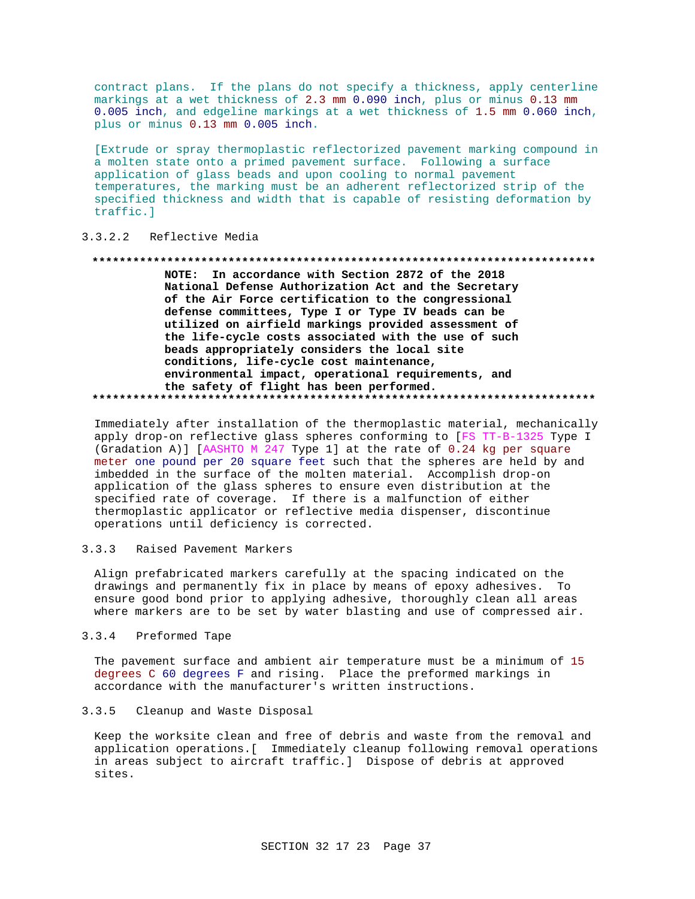contract plans. If the plans do not specify a thickness, apply centerline markings at a wet thickness of 2.3 mm 0.090 inch, plus or minus 0.13 mm 0.005 inch, and edgeline markings at a wet thickness of 1.5 mm 0.060 inch, plus or minus 0.13 mm 0.005 inch.

[Extrude or spray thermoplastic reflectorized pavement marking compound in a molten state onto a primed pavement surface. Following a surface application of glass beads and upon cooling to normal pavement temperatures, the marking must be an adherent reflectorized strip of the specified thickness and width that is capable of resisting deformation by traffic.]

#### $3.3.2.2$ Reflective Media

#### 

NOTE: In accordance with Section 2872 of the 2018 National Defense Authorization Act and the Secretary of the Air Force certification to the congressional defense committees, Type I or Type IV beads can be utilized on airfield markings provided assessment of the life-cycle costs associated with the use of such beads appropriately considers the local site conditions, life-cycle cost maintenance, environmental impact, operational requirements, and the safety of flight has been performed. 

Immediately after installation of the thermoplastic material, mechanically apply drop-on reflective glass spheres conforming to [FS TT-B-1325 Type I (Gradation A)] [AASHTO M 247 Type 1] at the rate of 0.24 kg per square meter one pound per 20 square feet such that the spheres are held by and imbedded in the surface of the molten material. Accomplish drop-on application of the glass spheres to ensure even distribution at the specified rate of coverage. If there is a malfunction of either thermoplastic applicator or reflective media dispenser, discontinue operations until deficiency is corrected.

#### $3.3.3$ Raised Pavement Markers

Align prefabricated markers carefully at the spacing indicated on the drawings and permanently fix in place by means of epoxy adhesives. To ensure good bond prior to applying adhesive, thoroughly clean all areas where markers are to be set by water blasting and use of compressed air.

#### $3.3.4$ Preformed Tape

The pavement surface and ambient air temperature must be a minimum of 15 degrees C 60 degrees F and rising. Place the preformed markings in accordance with the manufacturer's written instructions.

#### $3.3.5$ Cleanup and Waste Disposal

Keep the worksite clean and free of debris and waste from the removal and application operations. [ Immediately cleanup following removal operations in areas subject to aircraft traffic.] Dispose of debris at approved sites.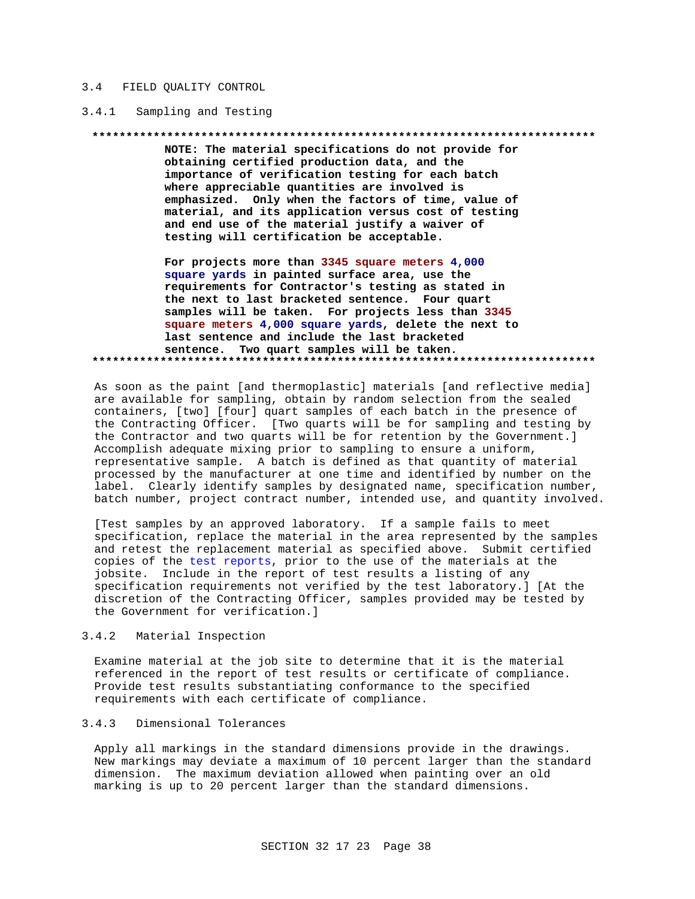#### $3.4$ FIELD OUALITY CONTROL

#### $3.4.1$ Sampling and Testing

#### \*\*\*\*\*\*\*\*\*\* \*\*\*\*\*\*\*\*\*\*\*\*\*\*\*

NOTE: The material specifications do not provide for obtaining certified production data, and the importance of verification testing for each batch where appreciable quantities are involved is emphasized. Only when the factors of time, value of material, and its application versus cost of testing and end use of the material justify a waiver of testing will certification be acceptable.

For projects more than 3345 square meters 4,000 square yards in painted surface area, use the requirements for Contractor's testing as stated in the next to last bracketed sentence. Four quart samples will be taken. For projects less than 3345 square meters 4,000 square yards, delete the next to last sentence and include the last bracketed sentence. Two quart samples will be taken. 

As soon as the paint [and thermoplastic] materials [and reflective media] are available for sampling, obtain by random selection from the sealed containers, [two] [four] quart samples of each batch in the presence of the Contracting Officer. [Two quarts will be for sampling and testing by the Contractor and two quarts will be for retention by the Government.] Accomplish adequate mixing prior to sampling to ensure a uniform, representative sample. A batch is defined as that quantity of material processed by the manufacturer at one time and identified by number on the label. Clearly identify samples by designated name, specification number, batch number, project contract number, intended use, and quantity involved.

[Test samples by an approved laboratory. If a sample fails to meet specification, replace the material in the area represented by the samples and retest the replacement material as specified above. Submit certified copies of the test reports, prior to the use of the materials at the jobsite. Include in the report of test results a listing of any specification requirements not verified by the test laboratory. ] [At the discretion of the Contracting Officer, samples provided may be tested by the Government for verification.]

#### $3.4.2$ Material Inspection

Examine material at the job site to determine that it is the material referenced in the report of test results or certificate of compliance. Provide test results substantiating conformance to the specified requirements with each certificate of compliance.

#### $3.4.3$ Dimensional Tolerances

Apply all markings in the standard dimensions provide in the drawings. New markings may deviate a maximum of 10 percent larger than the standard dimension. The maximum deviation allowed when painting over an old marking is up to 20 percent larger than the standard dimensions.